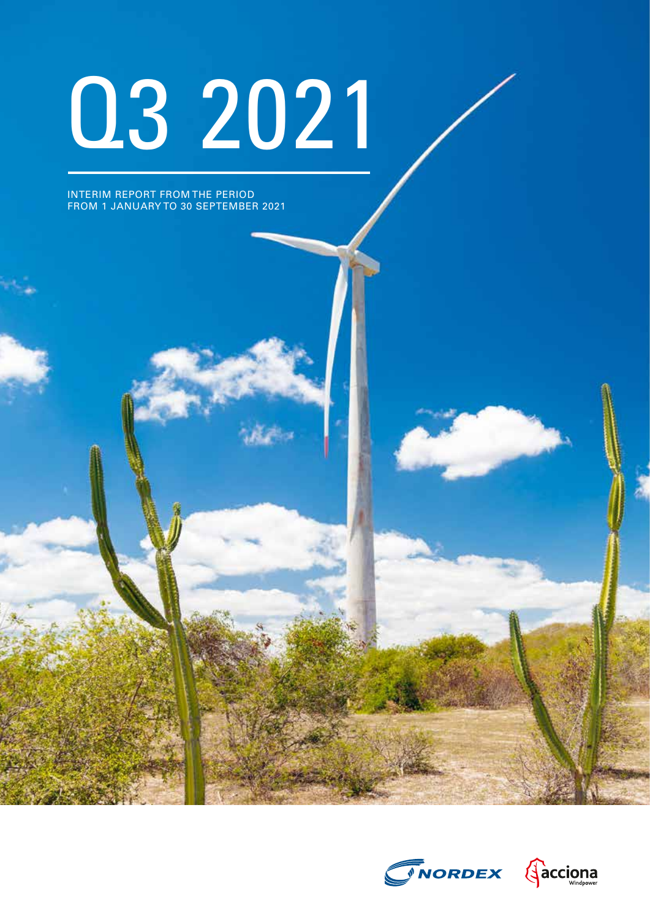# Q3 2021

INTERIM REPORT FROM THE PERIOD FROM 1 JANUARY TO 30 SEPTEMBER 2021

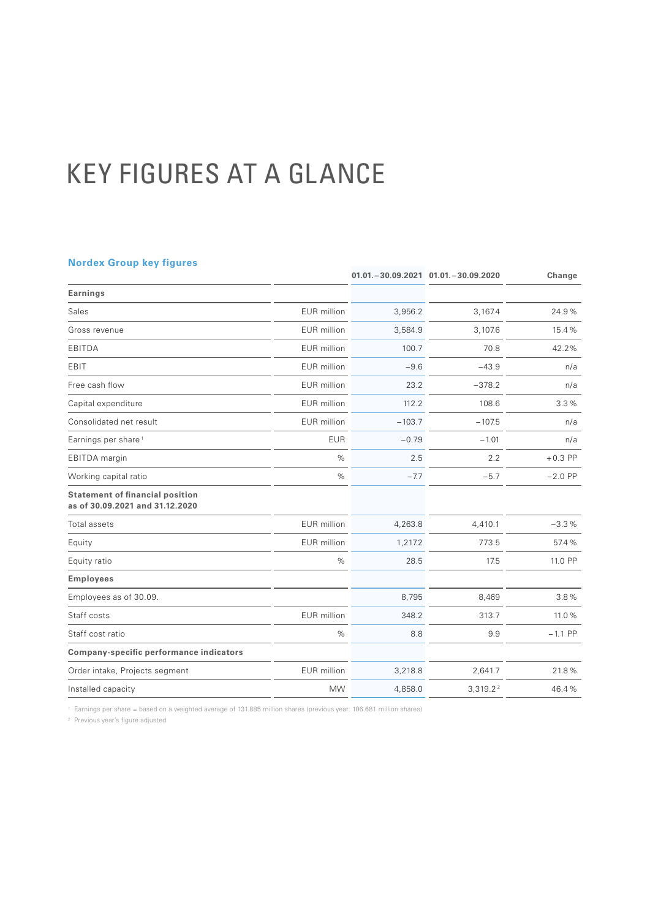# KEY FIGURES AT A GLANCE

#### **Nordex Group key figures**

| 3,956.2  | 3,167.4                                                                                                                                                                                                                                                                                      | 24.9%     |
|----------|----------------------------------------------------------------------------------------------------------------------------------------------------------------------------------------------------------------------------------------------------------------------------------------------|-----------|
| 3,584.9  | 3,107.6                                                                                                                                                                                                                                                                                      | 15.4%     |
| 100.7    | 70.8                                                                                                                                                                                                                                                                                         | 42.2%     |
| $-9.6$   | $-43.9$                                                                                                                                                                                                                                                                                      | n/a       |
| 23.2     | $-378.2$                                                                                                                                                                                                                                                                                     | n/a       |
| 112.2    | 108.6                                                                                                                                                                                                                                                                                        | 3.3%      |
| $-103.7$ | $-107.5$                                                                                                                                                                                                                                                                                     | n/a       |
| $-0.79$  | $-1.01$                                                                                                                                                                                                                                                                                      | n/a       |
| 2.5      | 2.2                                                                                                                                                                                                                                                                                          | $+0.3$ PP |
| $-7.7$   | $-5.7$                                                                                                                                                                                                                                                                                       | $-2.0$ PP |
|          |                                                                                                                                                                                                                                                                                              |           |
| 4,263.8  | 4,410.1                                                                                                                                                                                                                                                                                      | $-3.3%$   |
| 1,217.2  | 773.5                                                                                                                                                                                                                                                                                        | 57.4%     |
| 28.5     | 17.5                                                                                                                                                                                                                                                                                         | 11.0 PP   |
|          |                                                                                                                                                                                                                                                                                              |           |
| 8,795    | 8,469                                                                                                                                                                                                                                                                                        | 3.8%      |
| 348.2    | 313.7                                                                                                                                                                                                                                                                                        | 11.0%     |
| 8.8      | 9.9                                                                                                                                                                                                                                                                                          | $-1.1$ PP |
|          |                                                                                                                                                                                                                                                                                              |           |
| 3,218.8  | 2,641.7                                                                                                                                                                                                                                                                                      | 21.8%     |
| 4,858.0  | 3,319.2 <sup>2</sup>                                                                                                                                                                                                                                                                         | 46.4%     |
|          | <b>EUR</b> million<br>EUR million<br><b>EUR</b> million<br><b>EUR</b> million<br><b>EUR</b> million<br><b>EUR</b> million<br><b>EUR</b> million<br><b>EUR</b><br>$\%$<br>%<br><b>EUR</b> million<br><b>EUR</b> million<br>$\%$<br><b>EUR</b> million<br>%<br><b>EUR</b> million<br><b>MW</b> |           |

<sup>1</sup> Earnings per share = based on a weighted average of 131.885 million shares (previous year: 106.681 million shares)

<sup>2</sup> Previous year's figure adjusted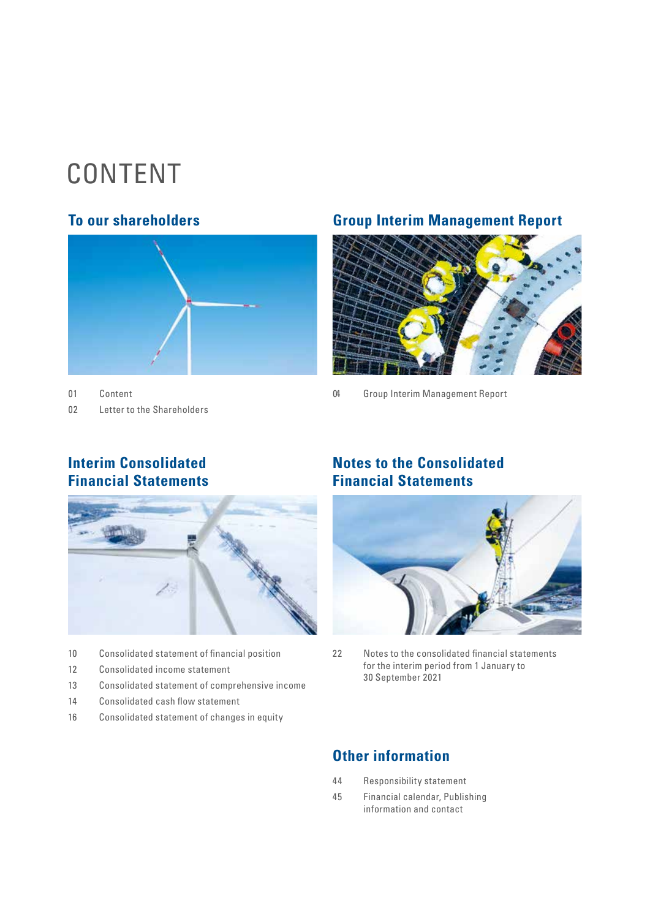# CONTENT



01 Content 02 [Letter to the Shareholders](#page-3-0)

### **To our shareholders Group Interim Management Report**



[04 Group Interim Management Report](#page-5-0) 

# **Interim Consolidated Financial Statements**



- 10 [Consolidated statement of financial position](#page-11-0)
- 12 [Consolidated income statement](#page-13-0)
- 13 [Consolidated statement of comprehensive income](#page-14-0)
- 14 [Consolidated cash flow statement](#page-15-0)
- 16 [Consolidated statement of changes in equity](#page-17-0)

# **Notes to the Consolidated Financial Statements**



[22 Notes to the consolidated financial statements](#page-21-0)  for the interim period from 1 January to 30 September 2021

# **Other information**

- [44 Responsibility statement](#page-43-0)
- [45 Financial calendar, Publishing](#page-44-0)  [information and contact](#page-44-0)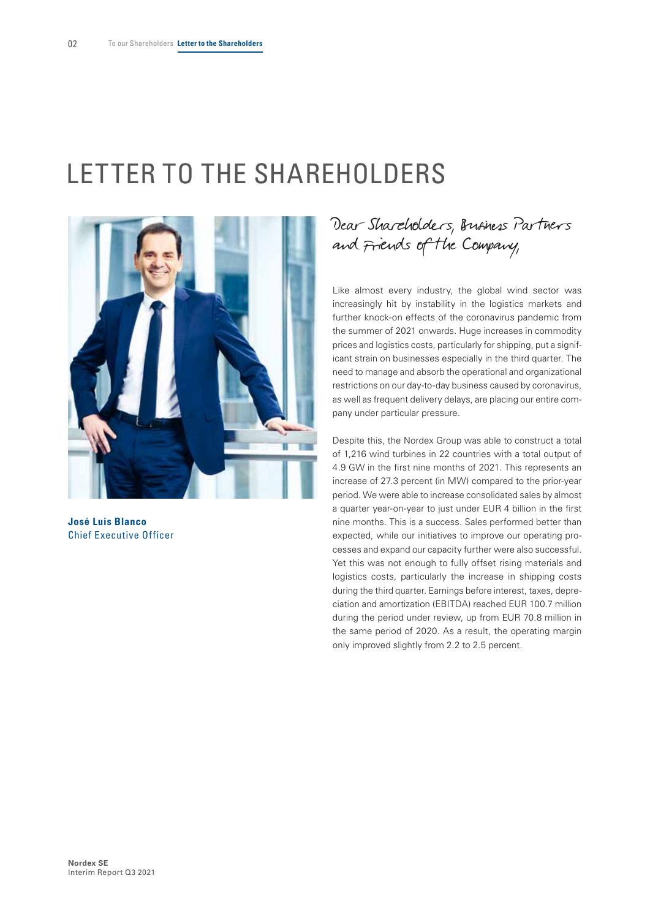# <span id="page-3-0"></span>LETTER TO THE SHAREHOLDERS



**José Luis Blanco** Chief Executive Officer

# Dear Shareholders, Business Partners and Friends of the Company,

Like almost every industry, the global wind sector was increasingly hit by instability in the logistics markets and further knock-on effects of the coronavirus pandemic from the summer of 2021 onwards. Huge increases in commodity prices and logistics costs, particularly for shipping, put a significant strain on businesses especially in the third quarter. The need to manage and absorb the operational and organizational restrictions on our day-to-day business caused by coronavirus, as well as frequent delivery delays, are placing our entire company under particular pressure.

Despite this, the Nordex Group was able to construct a total of 1,216 wind turbines in 22 countries with a total output of 4.9 GW in the first nine months of 2021. This represents an increase of 27.3 percent (in MW) compared to the prior-year period. We were able to increase consolidated sales by almost a quarter year-on-year to just under EUR 4 billion in the first nine months. This is a success. Sales performed better than expected, while our initiatives to improve our operating processes and expand our capacity further were also successful. Yet this was not enough to fully offset rising materials and logistics costs, particularly the increase in shipping costs during the third quarter. Earnings before interest, taxes, depreciation and amortization (EBITDA) reached EUR 100.7 million during the period under review, up from EUR 70.8 million in the same period of 2020. As a result, the operating margin only improved slightly from 2.2 to 2.5 percent.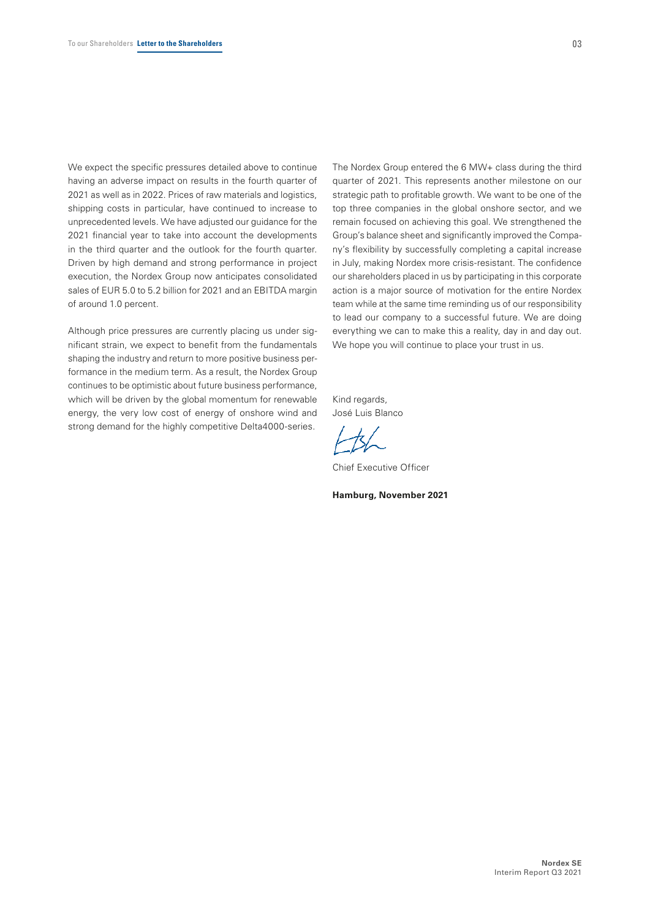We expect the specific pressures detailed above to continue having an adverse impact on results in the fourth quarter of 2021 as well as in 2022. Prices of raw materials and logistics, shipping costs in particular, have continued to increase to unprecedented levels. We have adjusted our guidance for the 2021 financial year to take into account the developments in the third quarter and the outlook for the fourth quarter. Driven by high demand and strong performance in project execution, the Nordex Group now anticipates consolidated sales of EUR 5.0 to 5.2 billion for 2021 and an EBITDA margin of around 1.0 percent.

Although price pressures are currently placing us under significant strain, we expect to benefit from the fundamentals shaping the industry and return to more positive business performance in the medium term. As a result, the Nordex Group continues to be optimistic about future business performance, which will be driven by the global momentum for renewable energy, the very low cost of energy of onshore wind and strong demand for the highly competitive Delta4000-series.

The Nordex Group entered the 6 MW+ class during the third quarter of 2021. This represents another milestone on our strategic path to profitable growth. We want to be one of the top three companies in the global onshore sector, and we remain focused on achieving this goal. We strengthened the Group's balance sheet and significantly improved the Company's flexibility by successfully completing a capital increase in July, making Nordex more crisis-resistant. The confidence our shareholders placed in us by participating in this corporate action is a major source of motivation for the entire Nordex team while at the same time reminding us of our responsibility to lead our company to a successful future. We are doing everything we can to make this a reality, day in and day out. We hope you will continue to place your trust in us.

Kind regards, José Luis Blanco

Chief Executive Officer

**Hamburg, November 2021**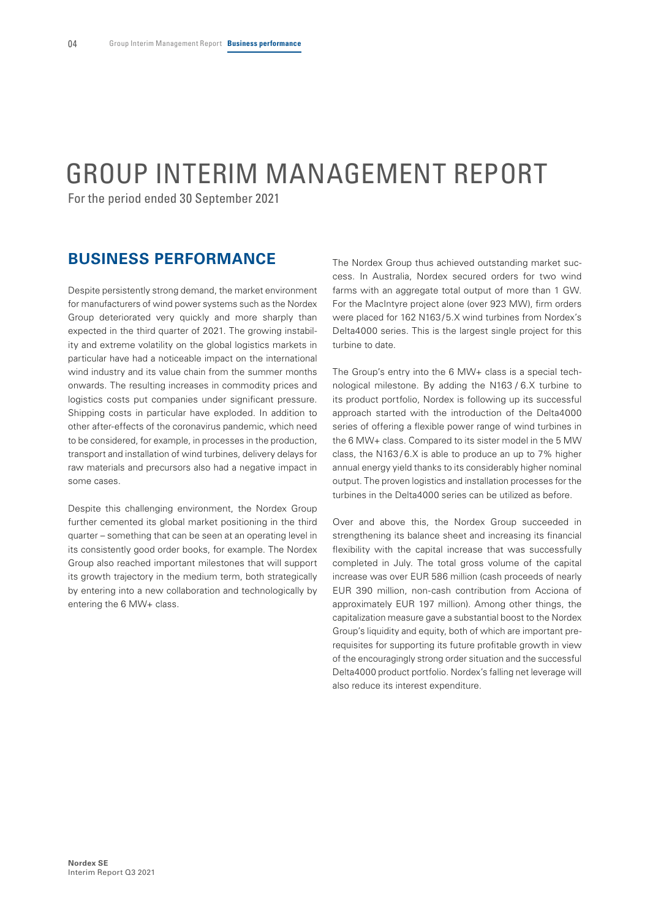# <span id="page-5-0"></span>GROUP INTERIM MANAGEMENT REPORT

For the period ended 30 September 2021

### **BUSINESS PERFORMANCE**

Despite persistently strong demand, the market environment for manufacturers of wind power systems such as the Nordex Group deteriorated very quickly and more sharply than expected in the third quarter of 2021. The growing instability and extreme volatility on the global logistics markets in particular have had a noticeable impact on the international wind industry and its value chain from the summer months onwards. The resulting increases in commodity prices and logistics costs put companies under significant pressure. Shipping costs in particular have exploded. In addition to other after-effects of the coronavirus pandemic, which need to be considered, for example, in processes in the production, transport and installation of wind turbines, delivery delays for raw materials and precursors also had a negative impact in some cases.

Despite this challenging environment, the Nordex Group further cemented its global market positioning in the third quarter – something that can be seen at an operating level in its consistently good order books, for example. The Nordex Group also reached important milestones that will support its growth trajectory in the medium term, both strategically by entering into a new collaboration and technologically by entering the 6 MW+ class.

The Nordex Group thus achieved outstanding market success. In Australia, Nordex secured orders for two wind farms with an aggregate total output of more than 1 GW. For the MacIntyre project alone (over 923 MW), firm orders were placed for 162 N163/5.X wind turbines from Nordex's Delta4000 series. This is the largest single project for this turbine to date.

The Group's entry into the 6 MW+ class is a special technological milestone. By adding the N163 / 6.X turbine to its product portfolio, Nordex is following up its successful approach started with the introduction of the Delta4000 series of offering a flexible power range of wind turbines in the 6 MW+ class. Compared to its sister model in the 5 MW class, the  $N163/6.X$  is able to produce an up to 7% higher annual energy yield thanks to its considerably higher nominal output. The proven logistics and installation processes for the turbines in the Delta4000 series can be utilized as before.

Over and above this, the Nordex Group succeeded in strengthening its balance sheet and increasing its financial flexibility with the capital increase that was successfully completed in July. The total gross volume of the capital increase was over EUR 586 million (cash proceeds of nearly EUR 390 million, non-cash contribution from Acciona of approximately EUR 197 million). Among other things, the capitalization measure gave a substantial boost to the Nordex Group's liquidity and equity, both of which are important prerequisites for supporting its future profitable growth in view of the encouragingly strong order situation and the successful Delta4000 product portfolio. Nordex's falling net leverage will also reduce its interest expenditure.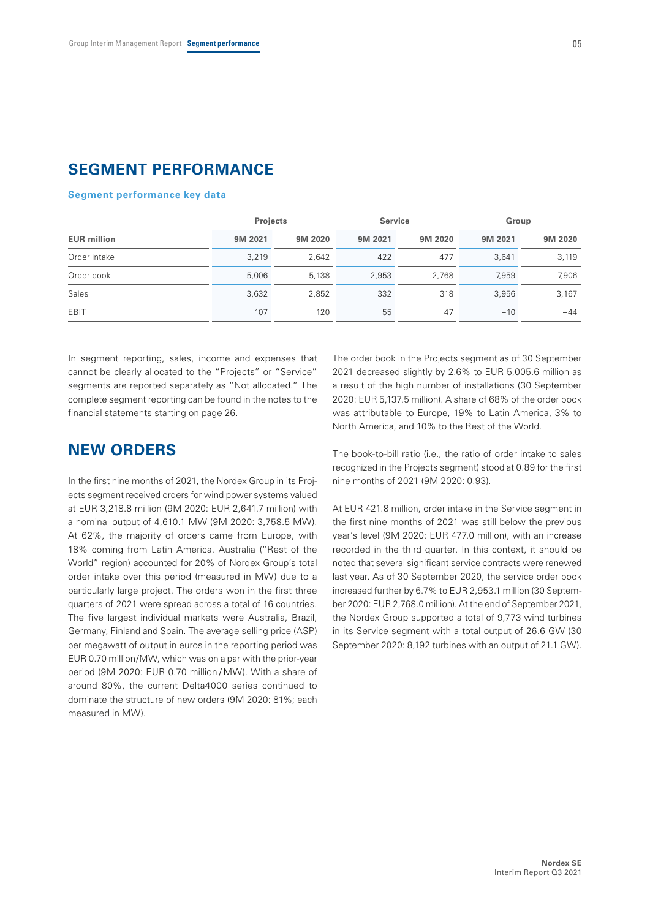### **SEGMENT PERFORMANCE**

#### **Segment performance key data**

|                    | <b>Projects</b><br><b>Service</b> |         | Group   |         |         |         |
|--------------------|-----------------------------------|---------|---------|---------|---------|---------|
| <b>EUR million</b> | 9M 2021                           | 9M 2020 | 9M 2021 | 9M 2020 | 9M 2021 | 9M 2020 |
| Order intake       | 3,219                             | 2,642   | 422     | 477     | 3.641   | 3,119   |
| Order book         | 5,006                             | 5,138   | 2,953   | 2.768   | 7.959   | 7,906   |
| Sales              | 3,632                             | 2,852   | 332     | 318     | 3.956   | 3.167   |
| EBIT               | 107                               | 120     | 55      | 47      | $-10$   | $-44$   |

In segment reporting, sales, income and expenses that cannot be clearly allocated to the "Projects" or "Service" segments are reported separately as "Not allocated." The complete segment reporting can be found in the notes to the financial statements starting on page 26.

### **NEW ORDERS**

In the first nine months of 2021, the Nordex Group in its Projects segment received orders for wind power systems valued at EUR 3,218.8 million (9M 2020: EUR 2,641.7 million) with a nominal output of 4,610.1 MW (9M 2020: 3,758.5 MW). At 62%, the majority of orders came from Europe, with 18% coming from Latin America. Australia ("Rest of the World" region) accounted for 20% of Nordex Group's total order intake over this period (measured in MW) due to a particularly large project. The orders won in the first three quarters of 2021 were spread across a total of 16 countries. The five largest individual markets were Australia, Brazil, Germany, Finland and Spain. The average selling price (ASP) per megawatt of output in euros in the reporting period was EUR 0.70 million/MW, which was on a par with the prior-year period (9M 2020: EUR 0.70 million / MW). With a share of around 80%, the current Delta4000 series continued to dominate the structure of new orders (9M 2020: 81%; each measured in MW).

The order book in the Projects segment as of 30 September 2021 decreased slightly by 2.6% to EUR 5,005.6 million as a result of the high number of installations (30 September 2020: EUR 5,137.5 million). A share of 68% of the order book was attributable to Europe, 19% to Latin America, 3% to North America, and 10% to the Rest of the World.

The book-to-bill ratio (i.e., the ratio of order intake to sales recognized in the Projects segment) stood at 0.89 for the first nine months of 2021 (9M 2020: 0.93).

At EUR 421.8 million, order intake in the Service segment in the first nine months of 2021 was still below the previous year's level (9M 2020: EUR 477.0 million), with an increase recorded in the third quarter. In this context, it should be noted that several significant service contracts were renewed last year. As of 30 September 2020, the service order book increased further by 6.7% to EUR 2,953.1 million (30 September 2020: EUR 2,768.0 million). At the end of September 2021, the Nordex Group supported a total of 9,773 wind turbines in its Service segment with a total output of 26.6 GW (30 September 2020: 8,192 turbines with an output of 21.1 GW).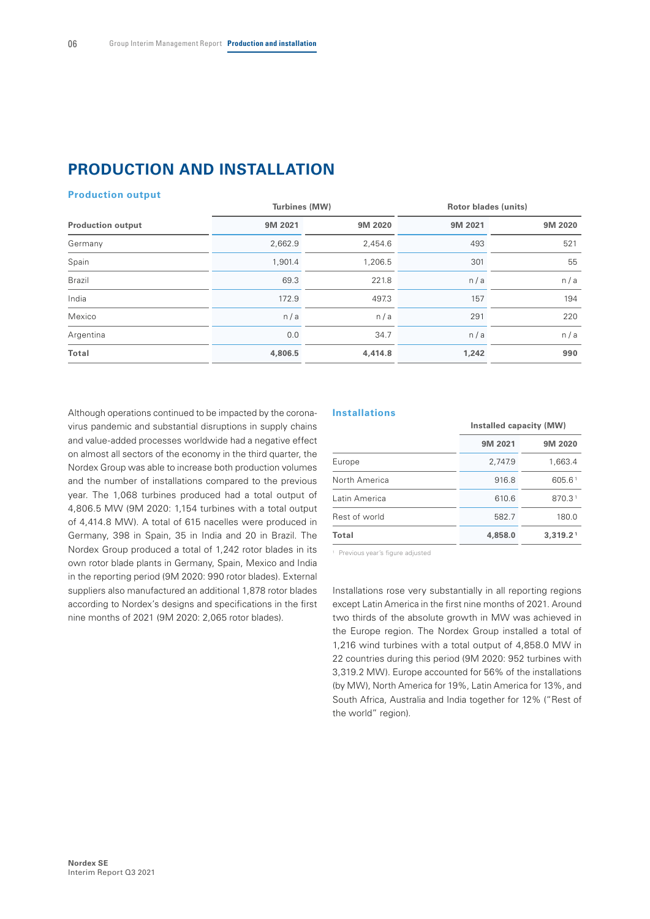# **PRODUCTION AND INSTALLATION**

#### **Production output**

|         |         |               | Rotor blades (units) |  |
|---------|---------|---------------|----------------------|--|
| 9M 2021 | 9M 2020 | 9M 2021       | 9M 2020              |  |
| 2,662.9 | 2,454.6 | 493           | 521                  |  |
| 1,901.4 | 1,206.5 | 301           | 55                   |  |
| 69.3    | 221.8   | n/a           | n/a                  |  |
| 172.9   | 497.3   | 157           | 194                  |  |
| n/a     | n/a     | 291           | 220                  |  |
| 0.0     | 34.7    | n/a           | n/a                  |  |
| 4,806.5 | 4,414.8 | 1,242         | 990                  |  |
|         |         | Turbines (MW) |                      |  |

Although operations continued to be impacted by the coronavirus pandemic and substantial disruptions in supply chains and value-added processes worldwide had a negative effect on almost all sectors of the economy in the third quarter, the Nordex Group was able to increase both production volumes and the number of installations compared to the previous year. The 1,068 turbines produced had a total output of 4,806.5 MW (9M 2020: 1,154 turbines with a total output of 4,414.8 MW). A total of 615 nacelles were produced in Germany, 398 in Spain, 35 in India and 20 in Brazil. The Nordex Group produced a total of 1,242 rotor blades in its own rotor blade plants in Germany, Spain, Mexico and India in the reporting period (9M 2020: 990 rotor blades). External suppliers also manufactured an additional 1,878 rotor blades according to Nordex's designs and specifications in the first nine months of 2021 (9M 2020: 2,065 rotor blades).

#### **Installations**

|               | Installed capacity (MW) |                    |
|---------------|-------------------------|--------------------|
|               | 9M 2021                 | 9M 2020            |
| Europe        | 2,747.9                 | 1,663.4            |
| North America | 916.8                   | 605.61             |
| Latin America | 610.6                   | 870.3 <sup>1</sup> |
| Rest of world | 582.7                   | 180.0              |
| Total         | 4,858.0                 | 3,319.21           |

<sup>1</sup> Previous year's figure adjusted

Installations rose very substantially in all reporting regions except Latin America in the first nine months of 2021. Around two thirds of the absolute growth in MW was achieved in the Europe region. The Nordex Group installed a total of 1,216 wind turbines with a total output of 4,858.0 MW in 22 countries during this period (9M 2020: 952 turbines with 3,319.2 MW). Europe accounted for 56% of the installations (by MW), North America for 19%, Latin America for 13%, and South Africa, Australia and India together for 12% ("Rest of the world" region).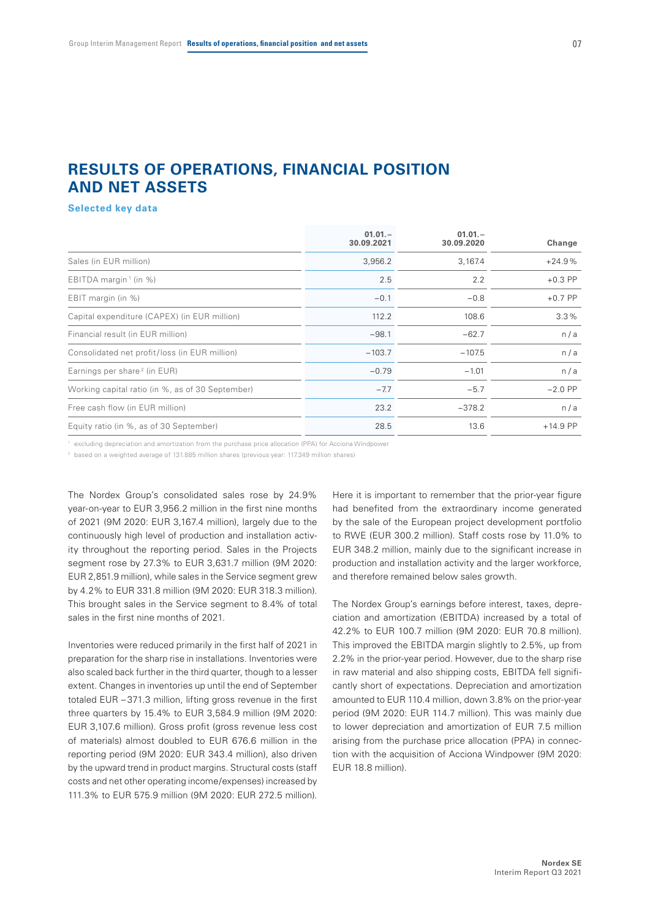## **RESULTS OF OPERATIONS, FINANCIAL POSITION AND NET ASSETS**

#### **Selected key data**

| $01.01 -$<br>30.09.2021 | $01.01 -$<br>30.09.2020 | Change     |
|-------------------------|-------------------------|------------|
| 3,956.2                 | 3,167.4                 | $+24.9%$   |
| 2.5                     | 2.2                     | $+0.3$ PP  |
| $-0.1$                  | $-0.8$                  | $+0.7$ PP  |
| 112.2                   | 108.6                   | 3.3%       |
| $-98.1$                 | $-62.7$                 | n/a        |
| $-103.7$                | $-107.5$                | n/a        |
| $-0.79$                 | $-1.01$                 | n/a        |
| $-7.7$                  | $-5.7$                  | $-2.0$ PP  |
| 23.2                    | $-378.2$                | n/a        |
| 28.5                    | 13.6                    | $+14.9$ PP |
|                         |                         |            |

<sup>1</sup> excluding depreciation and amortization from the purchase price allocation (PPA) for Acciona Windpower

<sup>2</sup> based on a weighted average of 131.885 million shares (previous year: 117.349 million shares)

The Nordex Group's consolidated sales rose by 24.9% year-on-year to EUR 3,956.2 million in the first nine months of 2021 (9M 2020: EUR 3,167.4 million), largely due to the continuously high level of production and installation activity throughout the reporting period. Sales in the Projects segment rose by 27.3% to EUR 3,631.7 million (9M 2020: EUR 2,851.9 million), while sales in the Service segment grew by 4.2% to EUR 331.8 million (9M 2020: EUR 318.3 million). This brought sales in the Service segment to 8.4% of total sales in the first nine months of 2021.

Inventories were reduced primarily in the first half of 2021 in preparation for the sharp rise in installations. Inventories were also scaled back further in the third quarter, though to a lesser extent. Changes in inventories up until the end of September totaled EUR – 371.3 million, lifting gross revenue in the first three quarters by 15.4% to EUR 3,584.9 million (9M 2020: EUR 3,107.6 million). Gross profit (gross revenue less cost of materials) almost doubled to EUR 676.6 million in the reporting period (9M 2020: EUR 343.4 million), also driven by the upward trend in product margins. Structural costs (staff costs and net other operating income/expenses) increased by 111.3% to EUR 575.9 million (9M 2020: EUR 272.5 million).

Here it is important to remember that the prior-year figure had benefited from the extraordinary income generated by the sale of the European project development portfolio to RWE (EUR 300.2 million). Staff costs rose by 11.0% to EUR 348.2 million, mainly due to the significant increase in production and installation activity and the larger workforce, and therefore remained below sales growth.

The Nordex Group's earnings before interest, taxes, depreciation and amortization (EBITDA) increased by a total of 42.2% to EUR 100.7 million (9M 2020: EUR 70.8 million). This improved the EBITDA margin slightly to 2.5%, up from 2.2% in the prior-year period. However, due to the sharp rise in raw material and also shipping costs, EBITDA fell significantly short of expectations. Depreciation and amortization amounted to EUR 110.4 million, down 3.8% on the prior-year period (9M 2020: EUR 114.7 million). This was mainly due to lower depreciation and amortization of EUR 7.5 million arising from the purchase price allocation (PPA) in connection with the acquisition of Acciona Windpower (9M 2020: EUR 18.8 million).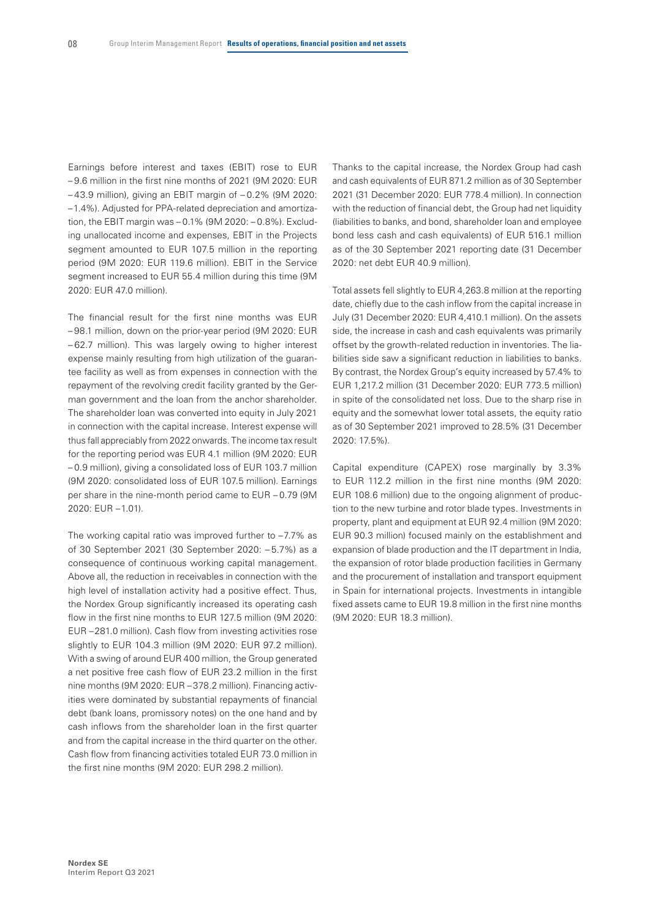Earnings before interest and taxes (EBIT) rose to EUR – 9.6 million in the first nine months of 2021 (9M 2020: EUR – 43.9 million), giving an EBIT margin of – 0.2% (9M 2020: –1.4%). Adjusted for PPA-related depreciation and amortization, the EBIT margin was – 0.1% (9M 2020: – 0.8%). Excluding unallocated income and expenses, EBIT in the Projects segment amounted to EUR 107.5 million in the reporting period (9M 2020: EUR 119.6 million). EBIT in the Service segment increased to EUR 55.4 million during this time (9M 2020: EUR 47.0 million).

The financial result for the first nine months was EUR – 98.1 million, down on the prior-year period (9M 2020: EUR – 62.7 million). This was largely owing to higher interest expense mainly resulting from high utilization of the guarantee facility as well as from expenses in connection with the repayment of the revolving credit facility granted by the German government and the loan from the anchor shareholder. The shareholder loan was converted into equity in July 2021 in connection with the capital increase. Interest expense will thus fall appreciably from 2022 onwards. The income tax result for the reporting period was EUR 4.1 million (9M 2020: EUR – 0.9 million), giving a consolidated loss of EUR 103.7 million (9M 2020: consolidated loss of EUR 107.5 million). Earnings per share in the nine-month period came to EUR – 0.79 (9M 2020: EUR –1.01).

The working capital ratio was improved further to –7.7% as of 30 September 2021 (30 September 2020: – 5.7%) as a consequence of continuous working capital management. Above all, the reduction in receivables in connection with the high level of installation activity had a positive effect. Thus, the Nordex Group significantly increased its operating cash flow in the first nine months to EUR 127.5 million (9M 2020: EUR –281.0 million). Cash flow from investing activities rose slightly to EUR 104.3 million (9M 2020: EUR 97.2 million). With a swing of around EUR 400 million, the Group generated a net positive free cash flow of EUR 23.2 million in the first nine months (9M 2020: EUR – 378.2 million). Financing activities were dominated by substantial repayments of financial debt (bank loans, promissory notes) on the one hand and by cash inflows from the shareholder loan in the first quarter and from the capital increase in the third quarter on the other. Cash flow from financing activities totaled EUR 73.0 million in the first nine months (9M 2020: EUR 298.2 million).

Thanks to the capital increase, the Nordex Group had cash and cash equivalents of EUR 871.2 million as of 30 September 2021 (31 December 2020: EUR 778.4 million). In connection with the reduction of financial debt, the Group had net liquidity (liabilities to banks, and bond, shareholder loan and employee bond less cash and cash equivalents) of EUR 516.1 million as of the 30 September 2021 reporting date (31 December 2020: net debt EUR 40.9 million).

Total assets fell slightly to EUR 4,263.8 million at the reporting date, chiefly due to the cash inflow from the capital increase in July (31 December 2020: EUR 4,410.1 million). On the assets side, the increase in cash and cash equivalents was primarily offset by the growth-related reduction in inventories. The liabilities side saw a significant reduction in liabilities to banks. By contrast, the Nordex Group's equity increased by 57.4% to EUR 1,217.2 million (31 December 2020: EUR 773.5 million) in spite of the consolidated net loss. Due to the sharp rise in equity and the somewhat lower total assets, the equity ratio as of 30 September 2021 improved to 28.5% (31 December 2020: 17.5%).

Capital expenditure (CAPEX) rose marginally by 3.3% to EUR 112.2 million in the first nine months (9M 2020: EUR 108.6 million) due to the ongoing alignment of production to the new turbine and rotor blade types. Investments in property, plant and equipment at EUR 92.4 million (9M 2020: EUR 90.3 million) focused mainly on the establishment and expansion of blade production and the IT department in India, the expansion of rotor blade production facilities in Germany and the procurement of installation and transport equipment in Spain for international projects. Investments in intangible fixed assets came to EUR 19.8 million in the first nine months (9M 2020: EUR 18.3 million).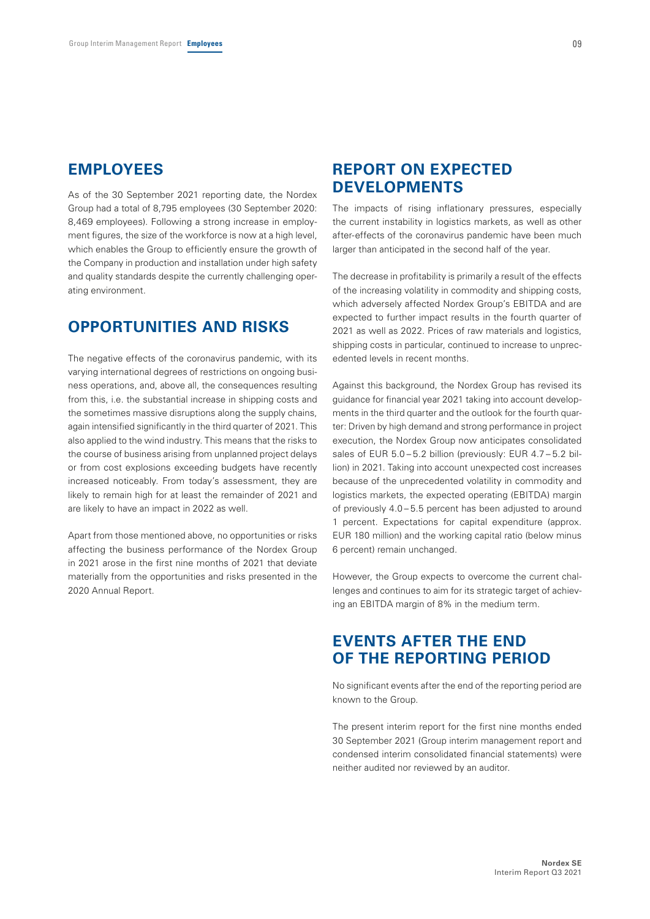### **EMPLOYEES**

As of the 30 September 2021 reporting date, the Nordex Group had a total of 8,795 employees (30 September 2020: 8,469 employees). Following a strong increase in employment figures, the size of the workforce is now at a high level, which enables the Group to efficiently ensure the growth of the Company in production and installation under high safety and quality standards despite the currently challenging operating environment.

# **OPPORTUNITIES AND RISKS**

The negative effects of the coronavirus pandemic, with its varying international degrees of restrictions on ongoing business operations, and, above all, the consequences resulting from this, i.e. the substantial increase in shipping costs and the sometimes massive disruptions along the supply chains, again intensified significantly in the third quarter of 2021. This also applied to the wind industry. This means that the risks to the course of business arising from unplanned project delays or from cost explosions exceeding budgets have recently increased noticeably. From today's assessment, they are likely to remain high for at least the remainder of 2021 and are likely to have an impact in 2022 as well.

Apart from those mentioned above, no opportunities or risks affecting the business performance of the Nordex Group in 2021 arose in the first nine months of 2021 that deviate materially from the opportunities and risks presented in the 2020 Annual Report.

### **REPORT ON EXPECTED DEVELOPMENTS**

The impacts of rising inflationary pressures, especially the current instability in logistics markets, as well as other after-effects of the coronavirus pandemic have been much larger than anticipated in the second half of the year.

The decrease in profitability is primarily a result of the effects of the increasing volatility in commodity and shipping costs, which adversely affected Nordex Group's EBITDA and are expected to further impact results in the fourth quarter of 2021 as well as 2022. Prices of raw materials and logistics, shipping costs in particular, continued to increase to unprecedented levels in recent months.

Against this background, the Nordex Group has revised its guidance for financial year 2021 taking into account developments in the third quarter and the outlook for the fourth quarter: Driven by high demand and strong performance in project execution, the Nordex Group now anticipates consolidated sales of EUR 5.0-5.2 billion (previously: EUR 4.7-5.2 billion) in 2021. Taking into account unexpected cost increases because of the unprecedented volatility in commodity and logistics markets, the expected operating (EBITDA) margin of previously 4.0 – 5.5 percent has been adjusted to around 1 percent. Expectations for capital expenditure (approx. EUR 180 million) and the working capital ratio (below minus 6 percent) remain unchanged.

However, the Group expects to overcome the current challenges and continues to aim for its strategic target of achieving an EBITDA margin of 8% in the medium term.

# **EVENTS AFTER THE END OF THE REPORTING PERIOD**

No significant events after the end of the reporting period are known to the Group.

The present interim report for the first nine months ended 30 September 2021 (Group interim management report and condensed interim consolidated financial statements) were neither audited nor reviewed by an auditor.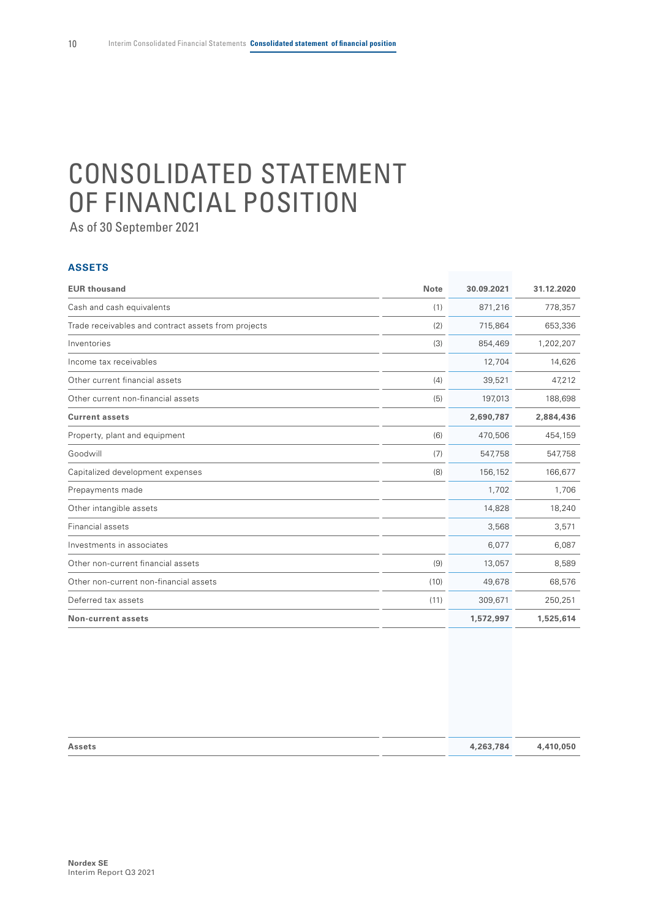# <span id="page-11-0"></span>CONSOLIDATED STATEMENT OF FINANCIAL POSITION

As of 30 September 2021

#### **ASSETS**

| <b>EUR thousand</b>                                 | <b>Note</b> | 30.09.2021 | 31.12.2020 |
|-----------------------------------------------------|-------------|------------|------------|
| Cash and cash equivalents                           | (1)         | 871,216    | 778,357    |
| Trade receivables and contract assets from projects | (2)         | 715,864    | 653,336    |
| Inventories                                         | (3)         | 854,469    | 1,202,207  |
| Income tax receivables                              |             | 12,704     | 14,626     |
| Other current financial assets                      | (4)         | 39,521     | 47,212     |
| Other current non-financial assets                  | (5)         | 197,013    | 188,698    |
| <b>Current assets</b>                               |             | 2,690,787  | 2,884,436  |
| Property, plant and equipment                       | (6)         | 470,506    | 454,159    |
| Goodwill                                            | (7)         | 547,758    | 547,758    |
| Capitalized development expenses                    | (8)         | 156,152    | 166,677    |
| Prepayments made                                    |             | 1,702      | 1,706      |
| Other intangible assets                             |             | 14,828     | 18,240     |
| Financial assets                                    |             | 3,568      | 3,571      |
| Investments in associates                           |             | 6,077      | 6,087      |
| Other non-current financial assets                  | (9)         | 13,057     | 8,589      |
| Other non-current non-financial assets              | (10)        | 49,678     | 68,576     |
| Deferred tax assets                                 | (11)        | 309,671    | 250,251    |
| <b>Non-current assets</b>                           |             | 1,572,997  | 1,525,614  |

| Assets | 4,263,784 | 4,410,050 |
|--------|-----------|-----------|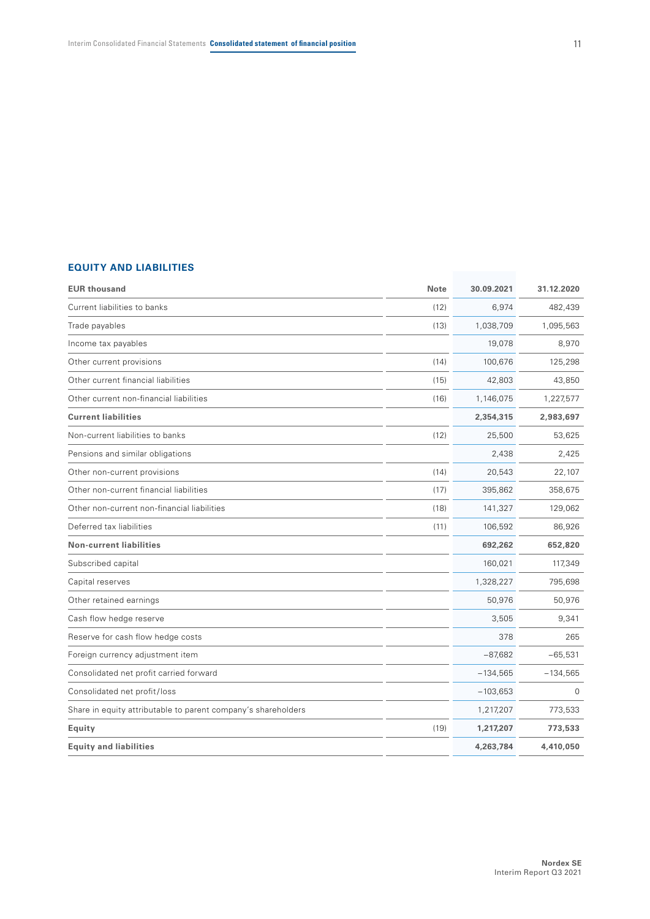#### **EQUITY AND LIABILITIES**

| <b>EUR thousand</b>                                           | <b>Note</b> | 30.09.2021 | 31.12.2020  |
|---------------------------------------------------------------|-------------|------------|-------------|
| Current liabilities to banks                                  | (12)        | 6,974      | 482,439     |
| Trade payables                                                | (13)        | 1,038,709  | 1,095,563   |
| Income tax payables                                           |             | 19,078     | 8,970       |
| Other current provisions                                      | (14)        | 100,676    | 125,298     |
| Other current financial liabilities                           | (15)        | 42,803     | 43,850      |
| Other current non-financial liabilities                       | (16)        | 1,146,075  | 1,227,577   |
| <b>Current liabilities</b>                                    |             | 2,354,315  | 2,983,697   |
| Non-current liabilities to banks                              | (12)        | 25,500     | 53,625      |
| Pensions and similar obligations                              |             | 2,438      | 2,425       |
| Other non-current provisions                                  | (14)        | 20,543     | 22,107      |
| Other non-current financial liabilities                       | (17)        | 395,862    | 358,675     |
| Other non-current non-financial liabilities                   | (18)        | 141,327    | 129,062     |
| Deferred tax liabilities                                      | (11)        | 106,592    | 86,926      |
| <b>Non-current liabilities</b>                                |             | 692,262    | 652,820     |
| Subscribed capital                                            |             | 160,021    | 117,349     |
| Capital reserves                                              |             | 1,328,227  | 795,698     |
| Other retained earnings                                       |             | 50,976     | 50,976      |
| Cash flow hedge reserve                                       |             | 3,505      | 9,341       |
| Reserve for cash flow hedge costs                             |             | 378        | 265         |
| Foreign currency adjustment item                              |             | $-87,682$  | $-65,531$   |
| Consolidated net profit carried forward                       |             | $-134,565$ | $-134,565$  |
| Consolidated net profit/loss                                  |             | $-103,653$ | $\mathbf 0$ |
| Share in equity attributable to parent company's shareholders |             | 1,217,207  | 773,533     |
| Equity                                                        | (19)        | 1,217,207  | 773,533     |
| <b>Equity and liabilities</b>                                 |             | 4,263,784  | 4,410,050   |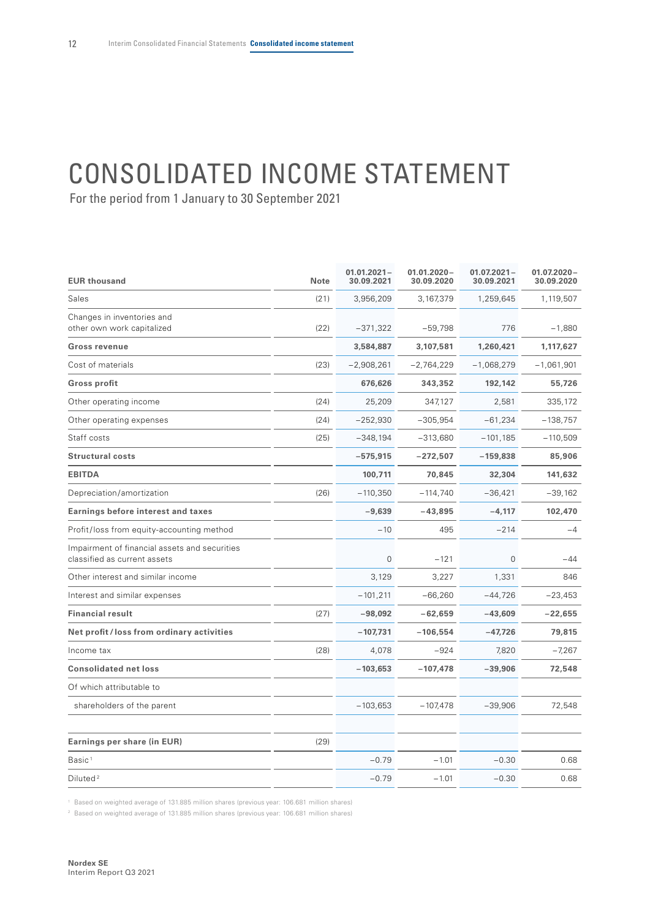# <span id="page-13-0"></span>CONSOLIDATED INCOME STATEMENT

For the period from 1 January to 30 September 2021

| <b>EUR thousand</b>                                                           | <b>Note</b> | $01.01.2021 -$<br>30.09.2021 | $01.01.2020 -$<br>30.09.2020 | $01.072021 -$<br>30.09.2021 | $01.072020 -$<br>30.09.2020 |
|-------------------------------------------------------------------------------|-------------|------------------------------|------------------------------|-----------------------------|-----------------------------|
| Sales                                                                         | (21)        | 3,956,209                    | 3,167,379                    | 1,259,645                   | 1,119,507                   |
| Changes in inventories and<br>other own work capitalized                      | (22)        | $-371,322$                   | $-59,798$                    | 776                         | $-1,880$                    |
| Gross revenue                                                                 |             | 3,584,887                    | 3,107,581                    | 1,260,421                   | 1,117,627                   |
| Cost of materials                                                             | (23)        | $-2,908,261$                 | $-2,764,229$                 | $-1,068,279$                | $-1,061,901$                |
| Gross profit                                                                  |             | 676,626                      | 343,352                      | 192,142                     | 55,726                      |
| Other operating income                                                        | (24)        | 25,209                       | 347,127                      | 2,581                       | 335,172                     |
| Other operating expenses                                                      | (24)        | $-252,930$                   | $-305,954$                   | $-61,234$                   | $-138,757$                  |
| Staff costs                                                                   | (25)        | $-348,194$                   | $-313,680$                   | $-101, 185$                 | $-110,509$                  |
| <b>Structural costs</b>                                                       |             | $-575,915$                   | $-272,507$                   | $-159,838$                  | 85,906                      |
| <b>EBITDA</b>                                                                 |             | 100,711                      | 70,845                       | 32,304                      | 141,632                     |
| Depreciation/amortization                                                     | (26)        | $-110,350$                   | $-114,740$                   | $-36,421$                   | $-39,162$                   |
| <b>Earnings before interest and taxes</b>                                     |             | $-9,639$                     | $-43,895$                    | $-4,117$                    | 102,470                     |
| Profit/loss from equity-accounting method                                     |             | $-10$                        | 495                          | $-214$                      | $-4$                        |
| Impairment of financial assets and securities<br>classified as current assets |             | $\mathbf 0$                  | $-121$                       | 0                           | $-44$                       |
| Other interest and similar income                                             |             | 3,129                        | 3,227                        | 1,331                       | 846                         |
| Interest and similar expenses                                                 |             | $-101,211$                   | $-66,260$                    | $-44,726$                   | $-23,453$                   |
| <b>Financial result</b>                                                       | (27)        | $-98,092$                    | $-62,659$                    | $-43,609$                   | $-22,655$                   |
| Net profit/loss from ordinary activities                                      |             | $-107,731$                   | $-106,554$                   | $-47,726$                   | 79,815                      |
| Income tax                                                                    | (28)        | 4,078                        | $-924$                       | 7,820                       | $-7,267$                    |
| <b>Consolidated net loss</b>                                                  |             | $-103,653$                   | $-107,478$                   | $-39,906$                   | 72,548                      |
| Of which attributable to                                                      |             |                              |                              |                             |                             |
| shareholders of the parent                                                    |             | $-103,653$                   | $-107,478$                   | $-39,906$                   | 72,548                      |
| Earnings per share (in EUR)                                                   | (29)        |                              |                              |                             |                             |
| Basic <sup>1</sup>                                                            |             | $-0.79$                      | $-1.01$                      | $-0.30$                     | 0.68                        |
| Diluted <sup>2</sup>                                                          |             | $-0.79$                      | $-1.01$                      | $-0.30$                     | 0.68                        |

<sup>1</sup> Based on weighted average of 131.885 million shares (previous year: 106.681 million shares)

<sup>2</sup> Based on weighted average of 131.885 million shares (previous year: 106.681 million shares)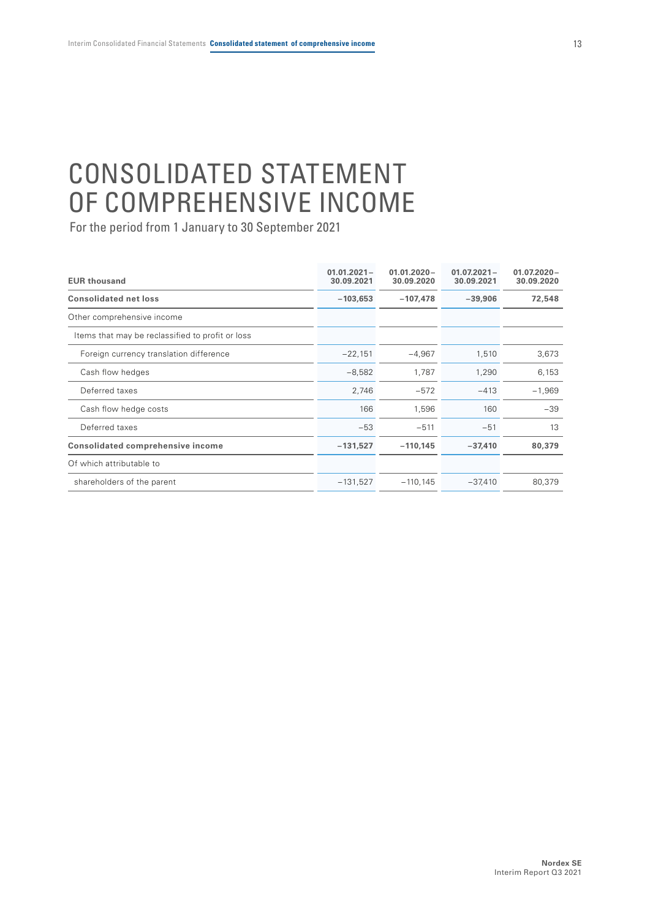# <span id="page-14-0"></span>CONSOLIDATED STATEMENT OF COMPREHENSIVE INCOME

| <b>EUR thousand</b>                              | $01.01.2021 -$<br>30.09.2021 | $01.01.2020 -$<br>30.09.2020 | $01.07.2021 -$<br>30.09.2021 | $01.07.2020 -$<br>30.09.2020 |
|--------------------------------------------------|------------------------------|------------------------------|------------------------------|------------------------------|
| <b>Consolidated net loss</b>                     | $-103,653$                   | $-107,478$                   | $-39,906$                    | 72,548                       |
| Other comprehensive income                       |                              |                              |                              |                              |
| Items that may be reclassified to profit or loss |                              |                              |                              |                              |
| Foreign currency translation difference          | $-22,151$                    | $-4,967$                     | 1,510                        | 3,673                        |
| Cash flow hedges                                 | $-8,582$                     | 1,787                        | 1,290                        | 6,153                        |
| Deferred taxes                                   | 2,746                        | $-572$                       | $-413$                       | $-1,969$                     |
| Cash flow hedge costs                            | 166                          | 1,596                        | 160                          | $-39$                        |
| Deferred taxes                                   | $-53$                        | $-511$                       | $-51$                        | 13                           |
| <b>Consolidated comprehensive income</b>         | $-131,527$                   | $-110,145$                   | $-37,410$                    | 80,379                       |
| Of which attributable to                         |                              |                              |                              |                              |
| shareholders of the parent                       | $-131,527$                   | $-110, 145$                  | $-37,410$                    | 80,379                       |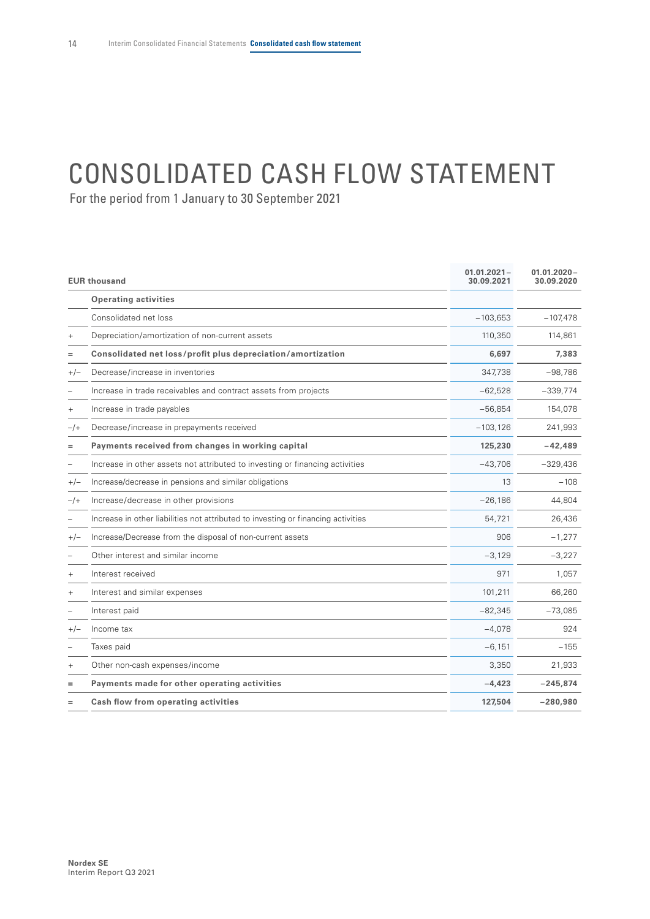# <span id="page-15-0"></span>CONSOLIDATED CASH FLOW STATEMENT

|        | <b>EUR thousand</b>                                                               | $01.01.2021 -$<br>30.09.2021 | $01.01.2020 -$<br>30.09.2020 |
|--------|-----------------------------------------------------------------------------------|------------------------------|------------------------------|
|        | <b>Operating activities</b>                                                       |                              |                              |
|        | Consolidated net loss                                                             | $-103,653$                   | $-107,478$                   |
|        | Depreciation/amortization of non-current assets                                   | 110,350                      | 114,861                      |
|        | Consolidated net loss/profit plus depreciation/amortization                       | 6.697                        | 7,383                        |
| $+/-$  | Decrease/increase in inventories                                                  | 347,738                      | $-98,786$                    |
|        | Increase in trade receivables and contract assets from projects                   | $-62,528$                    | $-339,774$                   |
| $+$    | Increase in trade payables                                                        | $-56,854$                    | 154,078                      |
| $-$ /+ | Decrease/increase in prepayments received                                         | $-103, 126$                  | 241,993                      |
| $=$    | Payments received from changes in working capital                                 | 125,230                      | $-42,489$                    |
|        | Increase in other assets not attributed to investing or financing activities      | $-43,706$                    | $-329,436$                   |
| $+/-$  | Increase/decrease in pensions and similar obligations                             | 13                           | $-108$                       |
| $-$ /+ | Increase/decrease in other provisions                                             | $-26,186$                    | 44,804                       |
|        | Increase in other liabilities not attributed to investing or financing activities | 54,721                       | 26,436                       |
| $+/-$  | Increase/Decrease from the disposal of non-current assets                         | 906                          | $-1,277$                     |
|        | Other interest and similar income                                                 | $-3,129$                     | $-3,227$                     |
| $+$    | Interest received                                                                 | 971                          | 1,057                        |
|        | Interest and similar expenses                                                     | 101,211                      | 66,260                       |
|        | Interest paid                                                                     | $-82,345$                    | $-73,085$                    |
| $+/-$  | Income tax                                                                        | $-4,078$                     | 924                          |
|        | Taxes paid                                                                        | $-6,151$                     | $-155$                       |
|        | Other non-cash expenses/income                                                    | 3,350                        | 21,933                       |
| $=$    | Payments made for other operating activities                                      | $-4.423$                     | $-245,874$                   |
|        | Cash flow from operating activities                                               | 127,504                      | $-280,980$                   |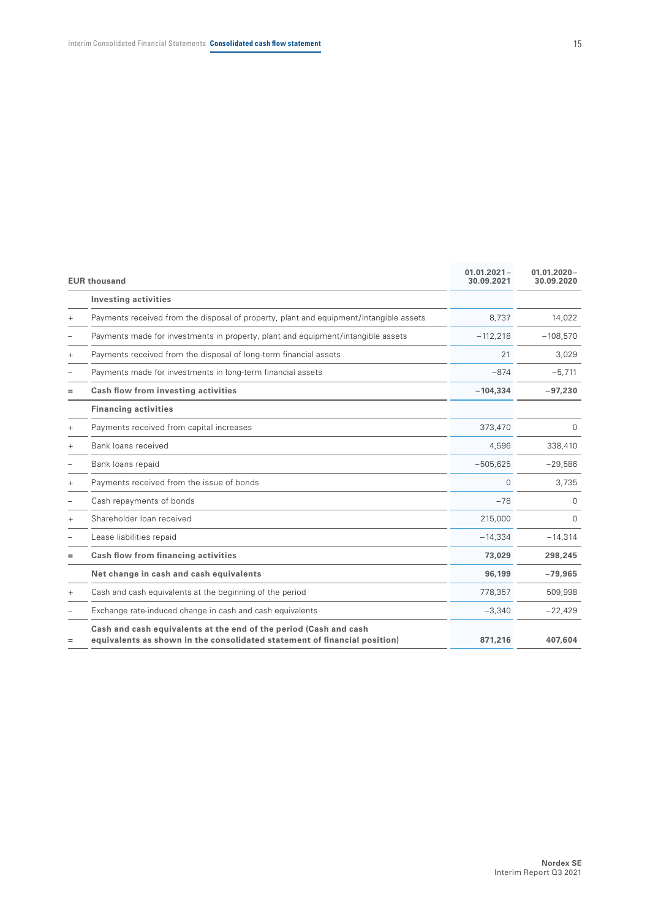|           | <b>EUR thousand</b>                                                                                                                            | $01.01.2021 -$<br>30.09.2021 | $01.01.2020 -$<br>30.09.2020 |
|-----------|------------------------------------------------------------------------------------------------------------------------------------------------|------------------------------|------------------------------|
|           | <b>Investing activities</b>                                                                                                                    |                              |                              |
| $^{+}$    | Payments received from the disposal of property, plant and equipment/intangible assets                                                         | 8,737                        | 14,022                       |
|           | Payments made for investments in property, plant and equipment/intangible assets                                                               | $-112,218$                   | $-108,570$                   |
| $^{+}$    | Payments received from the disposal of long-term financial assets                                                                              | 21                           | 3,029                        |
|           | Payments made for investments in long-term financial assets                                                                                    | $-874$                       | $-5,711$                     |
| $=$       | Cash flow from investing activities                                                                                                            | $-104,334$                   | $-97,230$                    |
|           | <b>Financing activities</b>                                                                                                                    |                              |                              |
| $^{+}$    | Payments received from capital increases                                                                                                       | 373,470                      | 0                            |
| $+$       | Bank loans received                                                                                                                            | 4,596                        | 338,410                      |
|           | Bank loans repaid                                                                                                                              | $-505,625$                   | $-29,586$                    |
| $^{+}$    | Payments received from the issue of bonds                                                                                                      | $\Omega$                     | 3,735                        |
|           | Cash repayments of bonds                                                                                                                       | $-78$                        | 0                            |
| $\ddot{}$ | Shareholder loan received                                                                                                                      | 215,000                      | 0                            |
|           | Lease liabilities repaid                                                                                                                       | $-14,334$                    | $-14,314$                    |
| $=$       | Cash flow from financing activities                                                                                                            | 73,029                       | 298,245                      |
|           | Net change in cash and cash equivalents                                                                                                        | 96,199                       | $-79,965$                    |
| $\ddot{}$ | Cash and cash equivalents at the beginning of the period                                                                                       | 778,357                      | 509,998                      |
|           | Exchange rate-induced change in cash and cash equivalents                                                                                      | $-3,340$                     | $-22,429$                    |
| =         | Cash and cash equivalents at the end of the period (Cash and cash<br>equivalents as shown in the consolidated statement of financial position) | 871.216                      | 407.604                      |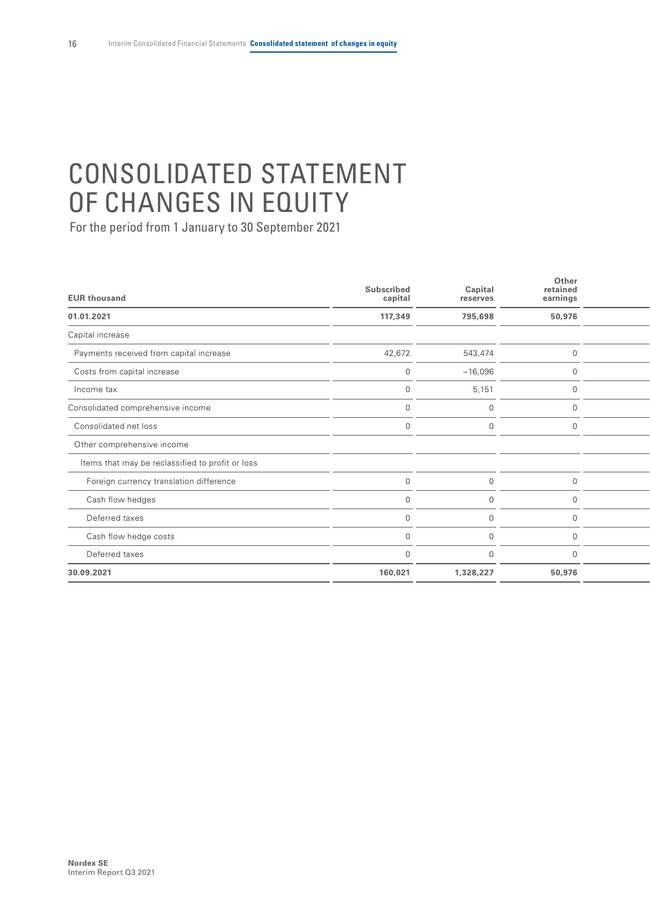# <span id="page-17-0"></span>CONSOLIDATED STATEMENT OF CHANGES IN EQUITY

| <b>EUR thousand</b>                              | Subscribed<br>capital | Capital<br>reserves | Other<br>retained<br>earnings |  |
|--------------------------------------------------|-----------------------|---------------------|-------------------------------|--|
| 01.01.2021                                       | 117,349               | 795,698             | 50,976                        |  |
| Capital increase                                 |                       |                     |                               |  |
| Payments received from capital increase          | 42,672                | 543,474             | $\overline{0}$                |  |
| Costs from capital increase                      | $\overline{0}$        | $-16,096$           | $\overline{0}$                |  |
| Income tax                                       | $\Omega$              | 5,151               | $\Omega$                      |  |
| Consolidated comprehensive income                | $\cap$                | $\Omega$            | $\cap$                        |  |
| Consolidated net loss                            | $\cap$                | $\Omega$            | $\cap$                        |  |
| Other comprehensive income                       |                       |                     |                               |  |
| Items that may be reclassified to profit or loss |                       |                     |                               |  |
| Foreign currency translation difference          |                       | $\mathbf 0$         | $\Omega$                      |  |
| Cash flow hedges                                 |                       | $\Omega$            |                               |  |
| Deferred taxes                                   |                       | $\Omega$            |                               |  |
| Cash flow hedge costs                            |                       | $\Omega$            |                               |  |
| Deferred taxes                                   | $\Omega$              | $\Omega$            | $\Omega$                      |  |
| 30.09.2021                                       | 160,021               | 1,328,227           | 50,976                        |  |
|                                                  |                       |                     |                               |  |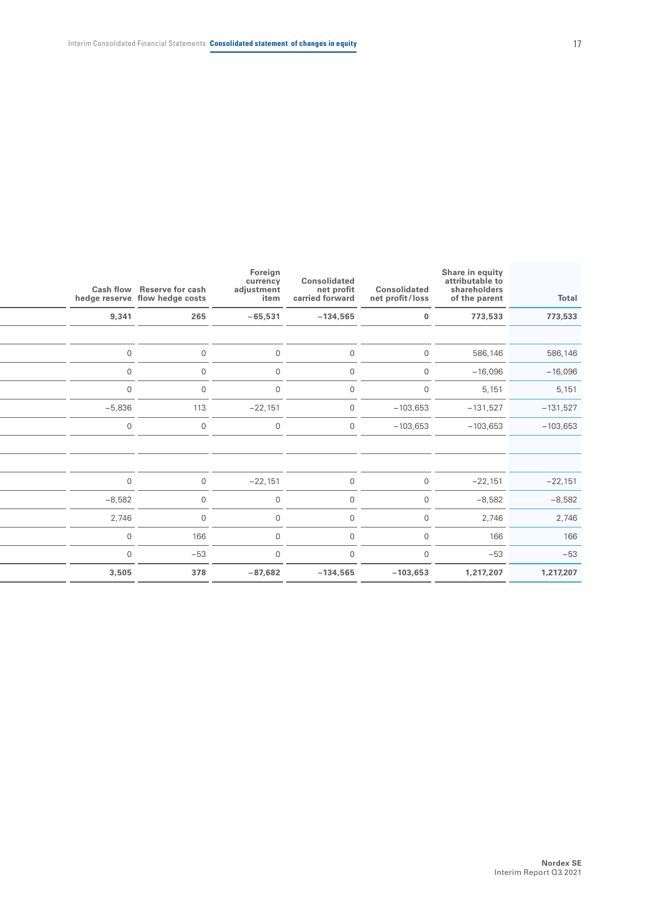| Total      | Share in equity<br>attributable to<br>shareholders<br>of the parent | Consolidated<br>net profit/loss | Consolidated<br>net profit<br>carried forward | Foreign<br>currency<br>adjustment<br>item | Cash flow Reserve for cash<br>hedge reserve flow hedge costs |                |
|------------|---------------------------------------------------------------------|---------------------------------|-----------------------------------------------|-------------------------------------------|--------------------------------------------------------------|----------------|
| 773,533    | 773,533                                                             | $\mathbf{0}$                    | $-134,565$                                    | $-65,531$                                 | 265                                                          | 9,341          |
|            |                                                                     |                                 |                                               |                                           |                                                              |                |
| 586,146    | 586,146                                                             | $\overline{0}$                  | $\overline{0}$                                | $\overline{0}$                            | $\overline{0}$                                               | $\overline{0}$ |
| $-16,096$  | $-16,096$                                                           | $\overline{0}$                  | $\overline{0}$                                | $\overline{0}$                            | $\mathbf 0$                                                  | $\Omega$       |
| 5,151      | 5,151                                                               | $\overline{0}$                  | $\overline{0}$                                | $\overline{0}$                            | $\mathbf 0$                                                  | $\Omega$       |
| $-131,527$ | $-131,527$                                                          | $-103,653$                      | $\overline{0}$                                | $-22,151$                                 | 113                                                          | $-5,836$       |
| $-103,653$ | $-103,653$                                                          | $-103,653$                      | $\overline{0}$                                | $\overline{0}$                            | $\overline{0}$                                               | $\overline{0}$ |
|            |                                                                     |                                 |                                               |                                           |                                                              |                |
|            |                                                                     |                                 |                                               |                                           |                                                              |                |
| $-22,151$  | $-22,151$                                                           | $\Omega$                        | $\overline{0}$                                | $-22,151$                                 | $\overline{0}$                                               | $\cap$         |
| $-8,582$   | $-8,582$                                                            | $\overline{0}$                  | $\overline{0}$                                | $\mathbf 0$                               | $\overline{0}$                                               | $-8,582$       |
| 2,746      | 2,746                                                               | $\overline{0}$                  | $\overline{0}$                                | $\overline{0}$                            | $\mathbf 0$                                                  | 2,746          |
| 166        | 166                                                                 | $\Omega$                        | $\overline{0}$                                | $\overline{0}$                            | 166                                                          | $\overline{0}$ |
| $-53$      | $-53$                                                               | $\Omega$                        | $\overline{0}$                                | $\overline{0}$                            | $-53$                                                        | $\Omega$       |
| 1,217,207  | 1,217,207                                                           | $-103,653$                      | $-134,565$                                    | $-87,682$                                 | 378                                                          | 3,505          |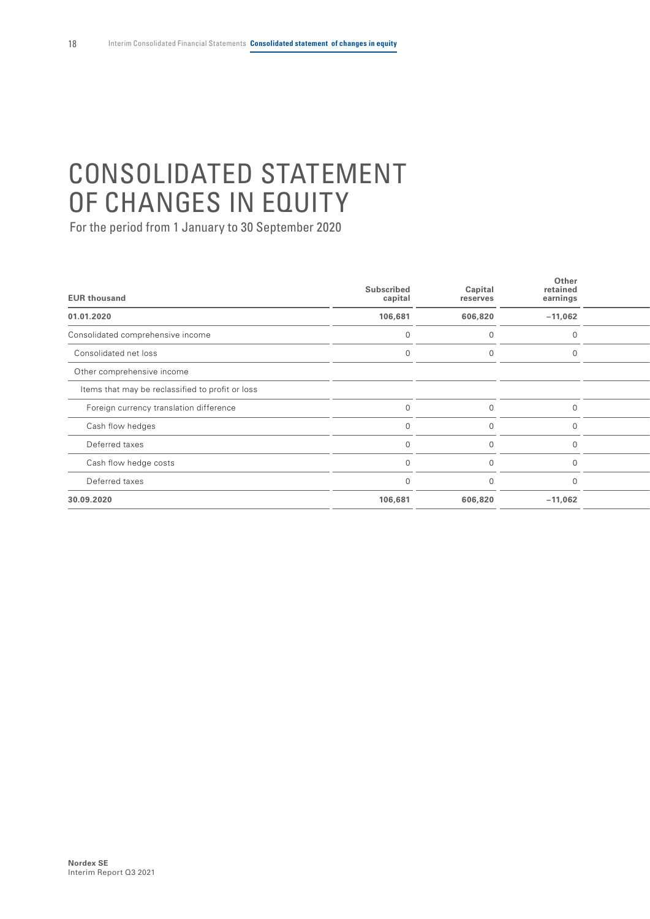# CONSOLIDATED STATEMENT OF CHANGES IN EQUITY

| <b>EUR thousand</b>                              | Subscribed<br>capital | Capital<br>reserves | Other<br>retained<br>earnings |  |
|--------------------------------------------------|-----------------------|---------------------|-------------------------------|--|
| 01.01.2020                                       | 106,681               | 606,820             | $-11,062$                     |  |
| Consolidated comprehensive income                |                       |                     | $\Omega$                      |  |
| Consolidated net loss                            |                       |                     | $\Omega$                      |  |
| Other comprehensive income                       |                       |                     |                               |  |
| Items that may be reclassified to profit or loss |                       |                     |                               |  |
| Foreign currency translation difference          |                       |                     | $\cap$                        |  |
| Cash flow hedges                                 |                       |                     |                               |  |
| Deferred taxes                                   |                       |                     |                               |  |
| Cash flow hedge costs                            |                       | U                   |                               |  |
| Deferred taxes                                   |                       | U                   | $\cap$                        |  |
| 30.09.2020                                       | 106,681               | 606,820             | $-11,062$                     |  |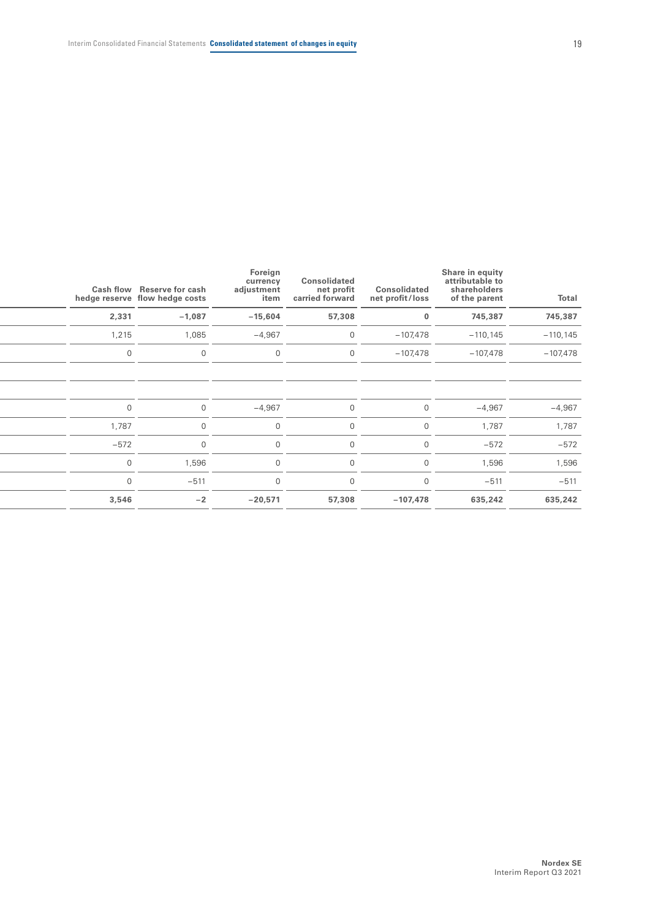| Total       | Share in equity<br>attributable to<br>shareholders<br>of the parent | Consolidated<br>net profit/loss | Consolidated<br>net profit<br>carried forward | Foreign<br>currency<br>adjustment<br>item | Cash flow Reserve for cash | hedge reserve flow hedge costs |
|-------------|---------------------------------------------------------------------|---------------------------------|-----------------------------------------------|-------------------------------------------|----------------------------|--------------------------------|
| 745,387     | 745,387                                                             | $\bf{0}$                        | 57,308                                        | $-15,604$                                 | $-1,087$                   | 2,331                          |
| $-110, 145$ | $-110, 145$                                                         | $-107,478$                      | $\overline{0}$                                | $-4,967$                                  | 1,085                      | 1,215                          |
| $-107,478$  | $-107,478$                                                          | $-107,478$                      | $\overline{0}$                                | $\overline{0}$                            | $\Omega$                   | $\cap$                         |
|             |                                                                     |                                 |                                               |                                           |                            |                                |
|             |                                                                     |                                 |                                               |                                           |                            |                                |
| $-4,967$    | $-4,967$                                                            | $\Omega$                        | $\overline{0}$                                | $-4,967$                                  | $\overline{0}$             | $\Omega$                       |
| 1,787       | 1,787                                                               | $\Omega$                        | $\Omega$                                      | $\overline{0}$                            | $\Omega$                   | 1,787                          |
| $-572$      | $-572$                                                              | $\cap$                          | $\Omega$                                      | $\overline{0}$                            |                            | $-572$                         |
| 1,596       | 1,596                                                               | $\cap$                          | $\mathbf 0$                                   | $\overline{0}$                            | 1,596                      | $\Omega$                       |
| $-511$      | $-511$                                                              | $\cap$                          | $\Omega$                                      | $\Omega$                                  | $-511$                     |                                |
| 635,242     | 635,242                                                             | $-107,478$                      | 57,308                                        | $-20,571$                                 | $-2$                       | 3,546                          |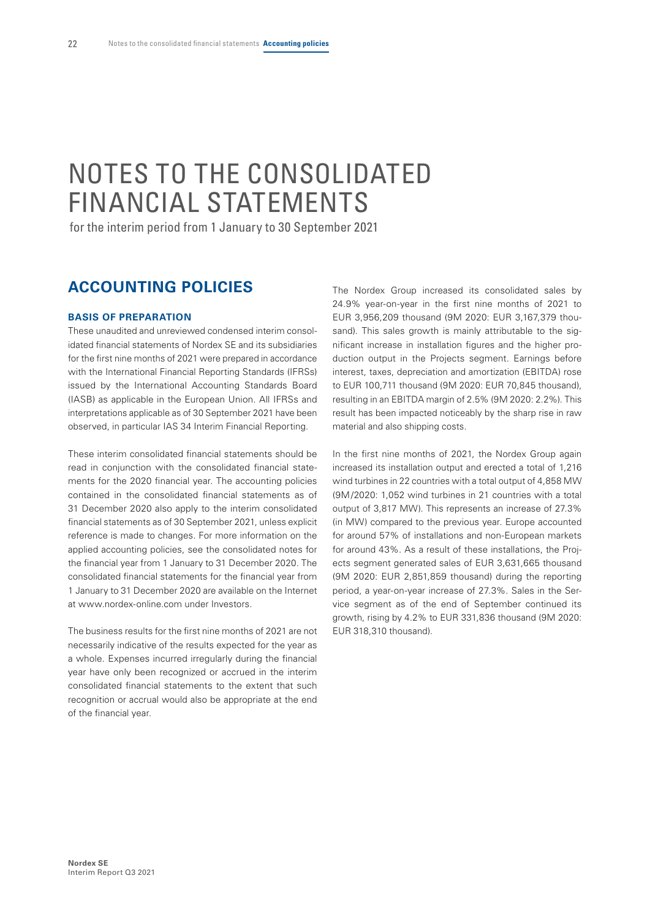# <span id="page-21-0"></span>NOTES TO THE CONSOLIDATED FINANCIAL STATEMENTS

for the interim period from 1 January to 30 September 2021

### **ACCOUNTING POLICIES**

#### **BASIS OF PREPARATION**

These unaudited and unreviewed condensed interim consolidated financial statements of Nordex SE and its subsidiaries for the first nine months of 2021 were prepared in accordance with the International Financial Reporting Standards (IFRSs) issued by the International Accounting Standards Board (IASB) as applicable in the European Union. All IFRSs and interpretations applicable as of 30 September 2021 have been observed, in particular IAS 34 Interim Financial Reporting.

These interim consolidated financial statements should be read in conjunction with the consolidated financial statements for the 2020 financial year. The accounting policies contained in the consolidated financial statements as of 31 December 2020 also apply to the interim consolidated financial statements as of 30 September 2021, unless explicit reference is made to changes. For more information on the applied accounting policies, see the consolidated notes for the financial year from 1 January to 31 December 2020. The consolidated financial statements for the financial year from 1 January to 31 December 2020 are available on the Internet at www.nordex-online.com under Investors.

The business results for the first nine months of 2021 are not necessarily indicative of the results expected for the year as a whole. Expenses incurred irregularly during the financial year have only been recognized or accrued in the interim consolidated financial statements to the extent that such recognition or accrual would also be appropriate at the end of the financial year.

The Nordex Group increased its consolidated sales by 24.9% year-on-year in the first nine months of 2021 to EUR 3,956,209 thousand (9M 2020: EUR 3,167,379 thousand). This sales growth is mainly attributable to the significant increase in installation figures and the higher production output in the Projects segment. Earnings before interest, taxes, depreciation and amortization (EBITDA) rose to EUR 100,711 thousand (9M 2020: EUR 70,845 thousand), resulting in an EBITDA margin of 2.5% (9M 2020: 2.2%). This result has been impacted noticeably by the sharp rise in raw material and also shipping costs.

In the first nine months of 2021, the Nordex Group again increased its installation output and erected a total of 1,216 wind turbines in 22 countries with a total output of 4,858 MW (9M/2020: 1,052 wind turbines in 21 countries with a total output of 3,817 MW). This represents an increase of 27.3% (in MW) compared to the previous year. Europe accounted for around 57% of installations and non-European markets for around 43%. As a result of these installations, the Projects segment generated sales of EUR 3,631,665 thousand (9M 2020: EUR 2,851,859 thousand) during the reporting period, a year-on-year increase of 27.3%. Sales in the Service segment as of the end of September continued its growth, rising by 4.2% to EUR 331,836 thousand (9M 2020: EUR 318,310 thousand).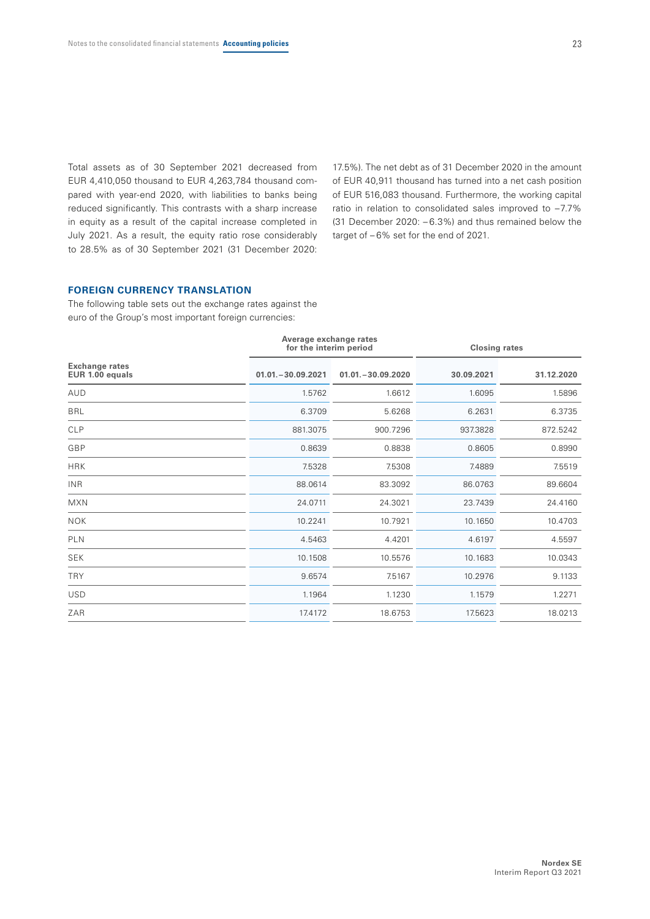Total assets as of 30 September 2021 decreased from EUR 4,410,050 thousand to EUR 4,263,784 thousand compared with year-end 2020, with liabilities to banks being reduced significantly. This contrasts with a sharp increase in equity as a result of the capital increase completed in July 2021. As a result, the equity ratio rose considerably to 28.5% as of 30 September 2021 (31 December 2020:

17.5%). The net debt as of 31 December 2020 in the amount of EUR 40,911 thousand has turned into a net cash position of EUR 516,083 thousand. Furthermore, the working capital ratio in relation to consolidated sales improved to –7.7% (31 December 2020: – 6.3%) and thus remained below the target of – 6% set for the end of 2021.

#### **FOREIGN CURRENCY TRANSLATION**

The following table sets out the exchange rates against the euro of the Group's most important foreign currencies:

|                                          | Average exchange rates<br>for the interim period |                      | <b>Closing rates</b> |            |  |  |
|------------------------------------------|--------------------------------------------------|----------------------|----------------------|------------|--|--|
| <b>Exchange rates</b><br>EUR 1.00 equals | $01.01 - 30.09.2021$                             | $01.01 - 30.09.2020$ | 30.09.2021           | 31.12.2020 |  |  |
| AUD                                      | 1.5762                                           | 1.6612               | 1.6095               | 1.5896     |  |  |
| <b>BRL</b>                               | 6.3709                                           | 5.6268               | 6.2631               | 6.3735     |  |  |
| <b>CLP</b>                               | 881.3075                                         | 900.7296             | 937.3828             | 872.5242   |  |  |
| GBP                                      | 0.8639                                           | 0.8838               | 0.8605               | 0.8990     |  |  |
| <b>HRK</b>                               | 7.5328                                           | 7.5308               | 7.4889               | 7.5519     |  |  |
| <b>INR</b>                               | 88.0614                                          | 83.3092              | 86.0763              | 89.6604    |  |  |
| <b>MXN</b>                               | 24.0711                                          | 24.3021              | 23.7439              | 24.4160    |  |  |
| <b>NOK</b>                               | 10.2241                                          | 10.7921              | 10.1650              | 10.4703    |  |  |
| PLN                                      | 4.5463                                           | 4.4201               | 4.6197               | 4.5597     |  |  |
| <b>SEK</b>                               | 10.1508                                          | 10.5576              | 10.1683              | 10.0343    |  |  |
| <b>TRY</b>                               | 9.6574                                           | 7.5167               | 10.2976              | 9.1133     |  |  |
| <b>USD</b>                               | 1.1964                                           | 1.1230               | 1.1579               | 1.2271     |  |  |
| ZAR                                      | 17.4172                                          | 18.6753              | 17.5623              | 18.0213    |  |  |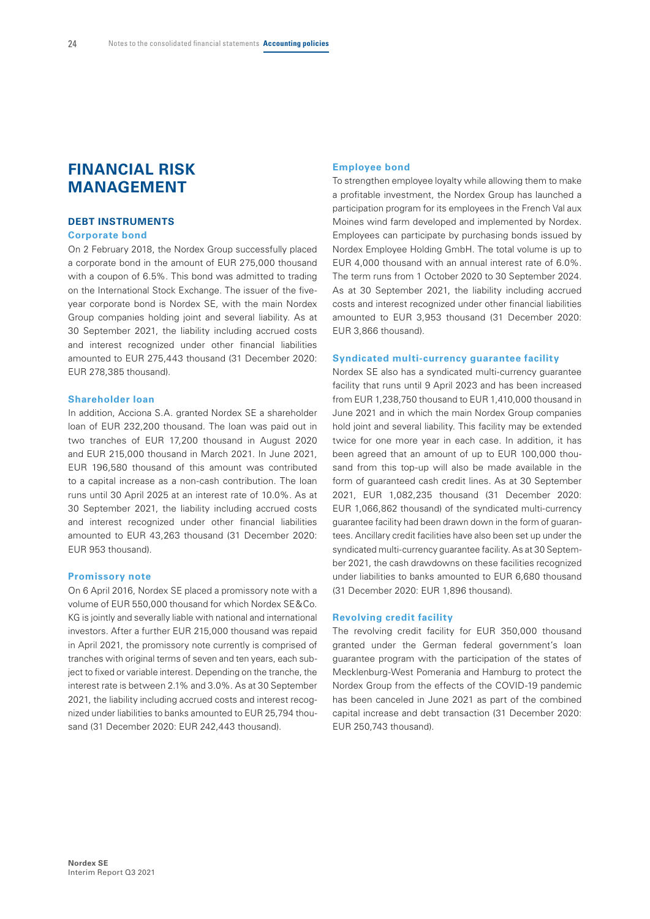### **FINANCIAL RISK MANAGEMENT**

#### **DEBT INSTRUMENTS**

#### **Corporate bond**

On 2 February 2018, the Nordex Group successfully placed a corporate bond in the amount of EUR 275,000 thousand with a coupon of 6.5%. This bond was admitted to trading on the International Stock Exchange. The issuer of the fiveyear corporate bond is Nordex SE, with the main Nordex Group companies holding joint and several liability. As at 30 September 2021, the liability including accrued costs and interest recognized under other financial liabilities amounted to EUR 275,443 thousand (31 December 2020: EUR 278,385 thousand).

#### **Shareholder loan**

In addition, Acciona S.A. granted Nordex SE a shareholder loan of EUR 232,200 thousand. The loan was paid out in two tranches of EUR 17,200 thousand in August 2020 and EUR 215,000 thousand in March 2021. In June 2021, EUR 196,580 thousand of this amount was contributed to a capital increase as a non-cash contribution. The loan runs until 30 April 2025 at an interest rate of 10.0%. As at 30 September 2021, the liability including accrued costs and interest recognized under other financial liabilities amounted to EUR 43,263 thousand (31 December 2020: EUR 953 thousand).

#### **Promissory note**

On 6 April 2016, Nordex SE placed a promissory note with a volume of EUR 550,000 thousand for which Nordex SE&Co. KG is jointly and severally liable with national and international investors. After a further EUR 215,000 thousand was repaid in April 2021, the promissory note currently is comprised of tranches with original terms of seven and ten years, each subject to fixed or variable interest. Depending on the tranche, the interest rate is between 2.1% and 3.0%. As at 30 September 2021, the liability including accrued costs and interest recognized under liabilities to banks amounted to EUR 25,794 thousand (31 December 2020: EUR 242,443 thousand).

#### **Employee bond**

To strengthen employee loyalty while allowing them to make a profitable investment, the Nordex Group has launched a participation program for its employees in the French Val aux Moines wind farm developed and implemented by Nordex. Employees can participate by purchasing bonds issued by Nordex Employee Holding GmbH. The total volume is up to EUR 4,000 thousand with an annual interest rate of 6.0%. The term runs from 1 October 2020 to 30 September 2024. As at 30 September 2021, the liability including accrued costs and interest recognized under other financial liabilities amounted to EUR 3,953 thousand (31 December 2020: EUR 3,866 thousand).

#### **Syndicated multi-currency guarantee facility**

Nordex SE also has a syndicated multi-currency guarantee facility that runs until 9 April 2023 and has been increased from EUR 1,238,750 thousand to EUR 1,410,000 thousand in June 2021 and in which the main Nordex Group companies hold joint and several liability. This facility may be extended twice for one more year in each case. In addition, it has been agreed that an amount of up to EUR 100,000 thousand from this top-up will also be made available in the form of guaranteed cash credit lines. As at 30 September 2021, EUR 1,082,235 thousand (31 December 2020: EUR 1,066,862 thousand) of the syndicated multi-currency guarantee facility had been drawn down in the form of guarantees. Ancillary credit facilities have also been set up under the syndicated multi-currency guarantee facility. As at 30 September 2021, the cash drawdowns on these facilities recognized under liabilities to banks amounted to EUR 6,680 thousand (31 December 2020: EUR 1,896 thousand).

#### **Revolving credit facility**

The revolving credit facility for EUR 350,000 thousand granted under the German federal government's loan guarantee program with the participation of the states of Mecklenburg-West Pomerania and Hamburg to protect the Nordex Group from the effects of the COVID-19 pandemic has been canceled in June 2021 as part of the combined capital increase and debt transaction (31 December 2020: EUR 250,743 thousand).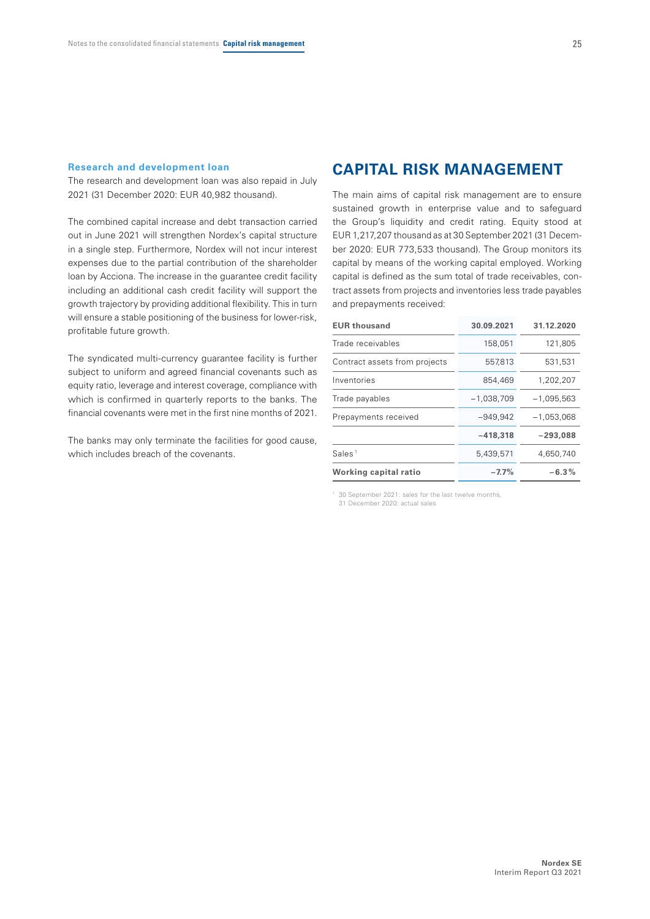#### **Research and development loan**

The research and development loan was also repaid in July 2021 (31 December 2020: EUR 40,982 thousand).

The combined capital increase and debt transaction carried out in June 2021 will strengthen Nordex's capital structure in a single step. Furthermore, Nordex will not incur interest expenses due to the partial contribution of the shareholder loan by Acciona. The increase in the guarantee credit facility including an additional cash credit facility will support the growth trajectory by providing additional flexibility. This in turn will ensure a stable positioning of the business for lower-risk, profitable future growth.

The syndicated multi-currency guarantee facility is further subject to uniform and agreed financial covenants such as equity ratio, leverage and interest coverage, compliance with which is confirmed in quarterly reports to the banks. The financial covenants were met in the first nine months of 2021.

The banks may only terminate the facilities for good cause, which includes breach of the covenants.

### **CAPITAL RISK MANAGEMENT**

The main aims of capital risk management are to ensure sustained growth in enterprise value and to safeguard the Group's liquidity and credit rating. Equity stood at EUR 1,217,207 thousand as at 30 September 2021 (31 December 2020: EUR 773,533 thousand). The Group monitors its capital by means of the working capital employed. Working capital is defined as the sum total of trade receivables, contract assets from projects and inventories less trade payables and prepayments received:

| <b>EUR thousand</b>           | 30.09.2021   | 31.12.2020   |
|-------------------------------|--------------|--------------|
| Trade receivables             | 158,051      | 121,805      |
| Contract assets from projects | 557,813      | 531.531      |
| Inventories                   | 854,469      | 1,202,207    |
| Trade payables                | $-1,038,709$ | $-1,095,563$ |
| Prepayments received          | $-949.942$   | $-1.053.068$ |
|                               | $-418,318$   | $-293,088$   |
| Sales <sup>1</sup>            | 5,439,571    | 4,650,740    |
| Working capital ratio         | $-7.7%$      | $-6.3\%$     |
|                               |              |              |

1 30 September 2021: sales for the last twelve months, 31 December 2020: actual sales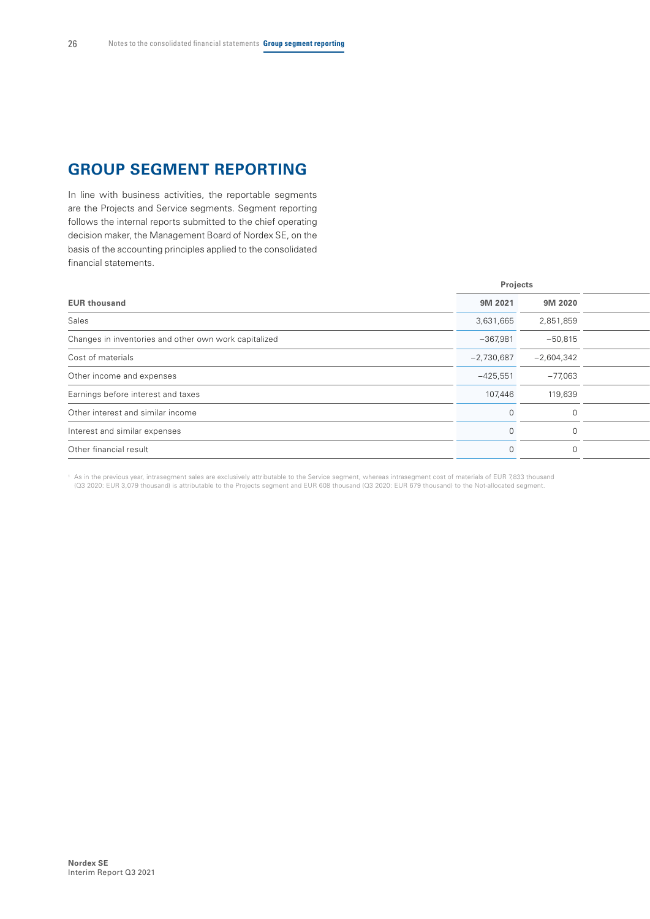# **GROUP SEGMENT REPORTING**

In line with business activities, the reportable segments are the Projects and Service segments. Segment reporting follows the internal reports submitted to the chief operating decision maker, the Management Board of Nordex SE, on the basis of the accounting principles applied to the consolidated financial statements.

| 9M 2021      | 9M 2020      |          |
|--------------|--------------|----------|
| 3,631,665    | 2,851,859    |          |
| $-367,981$   | $-50,815$    |          |
| $-2,730,687$ | $-2,604,342$ |          |
| $-425,551$   | $-77,063$    |          |
| 107,446      | 119,639      |          |
|              |              |          |
|              | $\Omega$     |          |
|              |              |          |
|              |              | Projects |

1 As in the previous year, intrasegment sales are exclusively attributable to the Service segment, whereas intrasegment cost of materials of EUR 7,833 thousand (Q3 2020: EUR 3,079 thousand) is attributable to the Projects segment and EUR 608 thousand (Q3 2020: EUR 679 thousand) to the Not-allocated segment.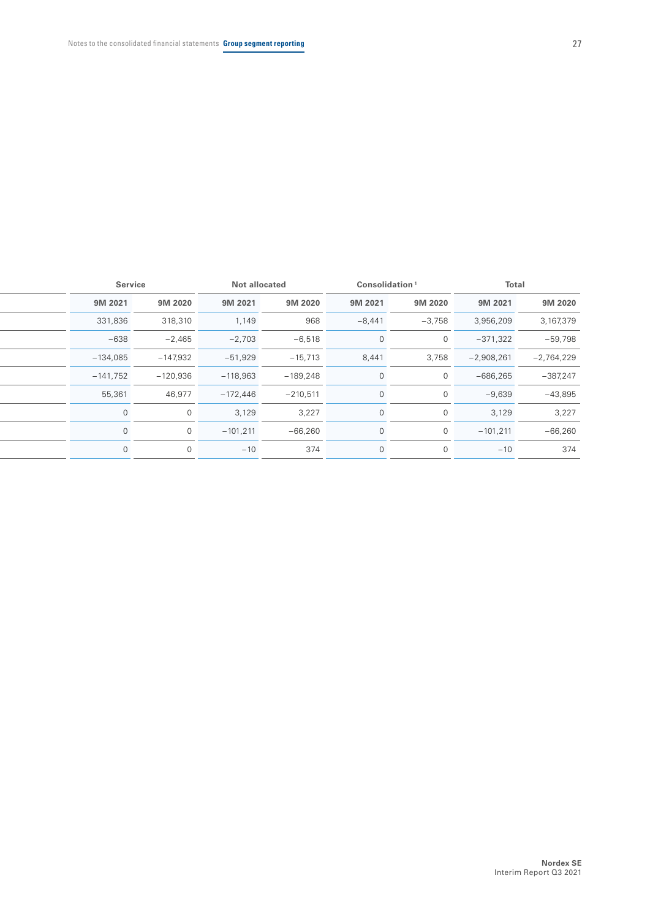|            | <b>Service</b> | Not allocated |            | Consolidation <sup>1</sup> |                | <b>Total</b> |              |
|------------|----------------|---------------|------------|----------------------------|----------------|--------------|--------------|
| 9M 2021    | 9M 2020        | 9M 2021       | 9M 2020    | 9M 2021                    | 9M 2020        | 9M 2021      | 9M 2020      |
| 331,836    | 318,310        | 1,149         | 968        | $-8,441$                   | $-3,758$       | 3,956,209    | 3,167,379    |
| $-638$     | $-2,465$       | $-2,703$      | $-6,518$   | $\Omega$                   | $\Omega$       | $-371,322$   | $-59,798$    |
| $-134,085$ | $-147,932$     | $-51,929$     | $-15,713$  | 8,441                      | 3,758          | $-2,908,261$ | $-2,764,229$ |
| $-141,752$ | $-120,936$     | $-118,963$    | $-189,248$ | $\Omega$                   | $\Omega$       | $-686,265$   | $-387,247$   |
| 55,361     | 46,977         | $-172,446$    | $-210,511$ | $\overline{0}$             | $\Omega$       | $-9,639$     | $-43,895$    |
|            | $\Omega$       | 3,129         | 3,227      | $\Omega$                   | $\Omega$       | 3,129        | 3,227        |
|            | $\Omega$       | $-101,211$    | $-66,260$  | $\Omega$                   | $\Omega$       | $-101,211$   | $-66,260$    |
|            | $\Omega$       | $-10$         | 374        | $\overline{0}$             | $\overline{0}$ | $-10$        | 374          |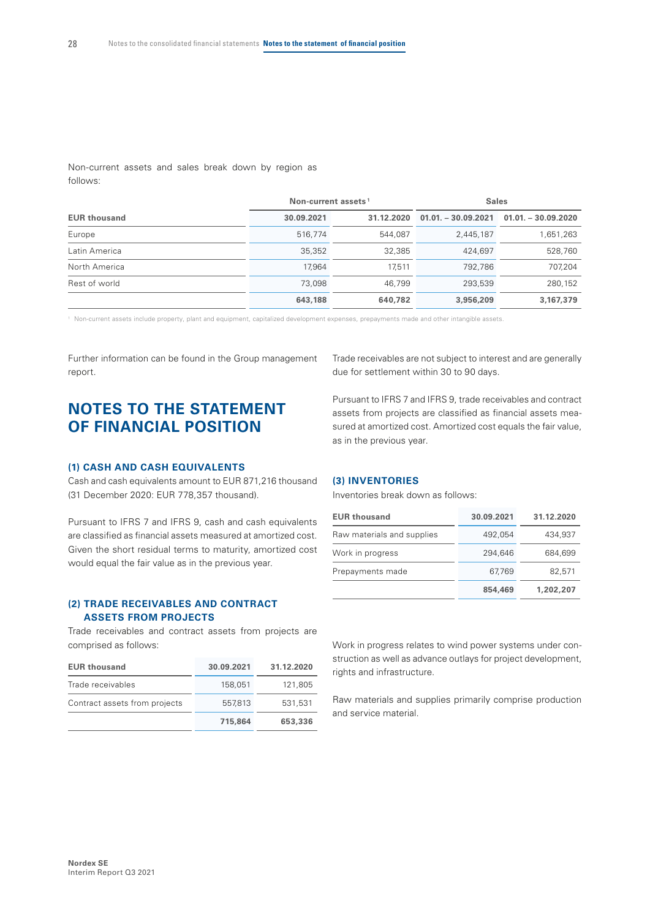Non-current assets and sales break down by region as follows:

|                     | Non-current assets <sup>1</sup> |            | <b>Sales</b> |                                           |  |
|---------------------|---------------------------------|------------|--------------|-------------------------------------------|--|
| <b>EUR thousand</b> | 30.09.2021                      | 31.12.2020 |              | $01.01 - 30.09.2021$ $01.01 - 30.09.2020$ |  |
| Europe              | 516,774                         | 544,087    | 2,445,187    | 1,651,263                                 |  |
| Latin America       | 35,352                          | 32,385     | 424,697      | 528,760                                   |  |
| North America       | 17,964                          | 17.511     | 792,786      | 707,204                                   |  |
| Rest of world       | 73,098                          | 46.799     | 293,539      | 280,152                                   |  |
|                     | 643,188                         | 640,782    | 3,956,209    | 3,167,379                                 |  |

1 Non-current assets include property, plant and equipment, capitalized development expenses, prepayments made and other intangible assets.

Further information can be found in the Group management report.

# **NOTES TO THE STATEMENT OF FINANCIAL POSITION**

#### **(1) CASH AND CASH EQUIVALENTS**

Cash and cash equivalents amount to EUR 871,216 thousand (31 December 2020: EUR 778,357 thousand).

Pursuant to IFRS 7 and IFRS 9, cash and cash equivalents are classified as financial assets measured at amortized cost. Given the short residual terms to maturity, amortized cost would equal the fair value as in the previous year.

#### **(2) TRADE RECEIVABLES AND CONTRACT ASSETS FROM PROJECTS**

Trade receivables and contract assets from projects are comprised as follows:

| <b>EUR thousand</b>           | 30.09.2021 | 31.12.2020 |
|-------------------------------|------------|------------|
| Trade receivables             | 158,051    | 121,805    |
| Contract assets from projects | 557,813    | 531.531    |
|                               | 715,864    | 653,336    |

Trade receivables are not subject to interest and are generally due for settlement within 30 to 90 days.

Pursuant to IFRS 7 and IFRS 9, trade receivables and contract assets from projects are classified as financial assets measured at amortized cost. Amortized cost equals the fair value, as in the previous year.

#### **(3) INVENTORIES**

Inventories break down as follows:

| <b>EUR thousand</b>        | 30.09.2021 | 31.12.2020 |
|----------------------------|------------|------------|
| Raw materials and supplies | 492.054    | 434,937    |
| Work in progress           | 294.646    | 684,699    |
| Prepayments made           | 67,769     | 82,571     |
|                            | 854,469    | 1,202,207  |

Work in progress relates to wind power systems under construction as well as advance outlays for project development, rights and infrastructure.

Raw materials and supplies primarily comprise production and service material.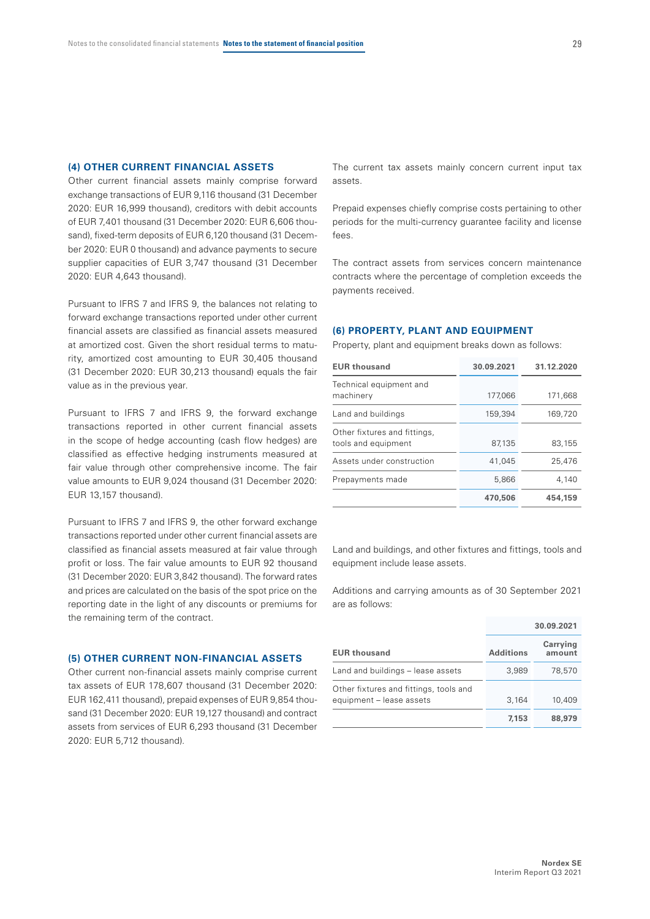#### **(4) OTHER CURRENT FINANCIAL ASSETS**

Other current financial assets mainly comprise forward exchange transactions of EUR 9,116 thousand (31 December 2020: EUR 16,999 thousand), creditors with debit accounts of EUR 7,401 thousand (31 December 2020: EUR 6,606 thousand), fixed-term deposits of EUR 6,120 thousand (31 December 2020: EUR 0 thousand) and advance payments to secure supplier capacities of EUR 3,747 thousand (31 December 2020: EUR 4,643 thousand).

Pursuant to IFRS 7 and IFRS 9, the balances not relating to forward exchange transactions reported under other current financial assets are classified as financial assets measured at amortized cost. Given the short residual terms to maturity, amortized cost amounting to EUR 30,405 thousand (31 December 2020: EUR 30,213 thousand) equals the fair value as in the previous year.

Pursuant to IFRS 7 and IFRS 9, the forward exchange transactions reported in other current financial assets in the scope of hedge accounting (cash flow hedges) are classified as effective hedging instruments measured at fair value through other comprehensive income. The fair value amounts to EUR 9,024 thousand (31 December 2020: EUR 13,157 thousand).

Pursuant to IFRS 7 and IFRS 9, the other forward exchange transactions reported under other current financial assets are classified as financial assets measured at fair value through profit or loss. The fair value amounts to EUR 92 thousand (31 December 2020: EUR 3,842 thousand). The forward rates and prices are calculated on the basis of the spot price on the reporting date in the light of any discounts or premiums for the remaining term of the contract.

#### **(5) OTHER CURRENT NON-FINANCIAL ASSETS**

Other current non-financial assets mainly comprise current tax assets of EUR 178,607 thousand (31 December 2020: EUR 162,411 thousand), prepaid expenses of EUR 9,854 thousand (31 December 2020: EUR 19,127 thousand) and contract assets from services of EUR 6,293 thousand (31 December 2020: EUR 5,712 thousand).

The current tax assets mainly concern current input tax assets.

Prepaid expenses chiefly comprise costs pertaining to other periods for the multi-currency guarantee facility and license fees.

The contract assets from services concern maintenance contracts where the percentage of completion exceeds the payments received.

#### **(6) PROPERTY, PLANT AND EQUIPMENT**

Property, plant and equipment breaks down as follows:

| <b>EUR thousand</b>                                 | 30.09.2021 | 31.12.2020 |
|-----------------------------------------------------|------------|------------|
| Technical equipment and<br>machinery                | 177,066    | 171,668    |
| Land and buildings                                  | 159,394    | 169,720    |
| Other fixtures and fittings,<br>tools and equipment | 87.135     | 83,155     |
| Assets under construction                           | 41.045     | 25,476     |
| Prepayments made                                    | 5,866      | 4.140      |
|                                                     | 470,506    | 454,159    |

Land and buildings, and other fixtures and fittings, tools and equipment include lease assets.

Additions and carrying amounts as of 30 September 2021 are as follows:

|                                                                    |                  | 30.09.2021         |
|--------------------------------------------------------------------|------------------|--------------------|
| <b>EUR thousand</b>                                                | <b>Additions</b> | Carrying<br>amount |
| Land and buildings - lease assets                                  | 3,989            | 78,570             |
| Other fixtures and fittings, tools and<br>equipment - lease assets | 3,164            | 10,409             |
|                                                                    | 7,153            | 88,979             |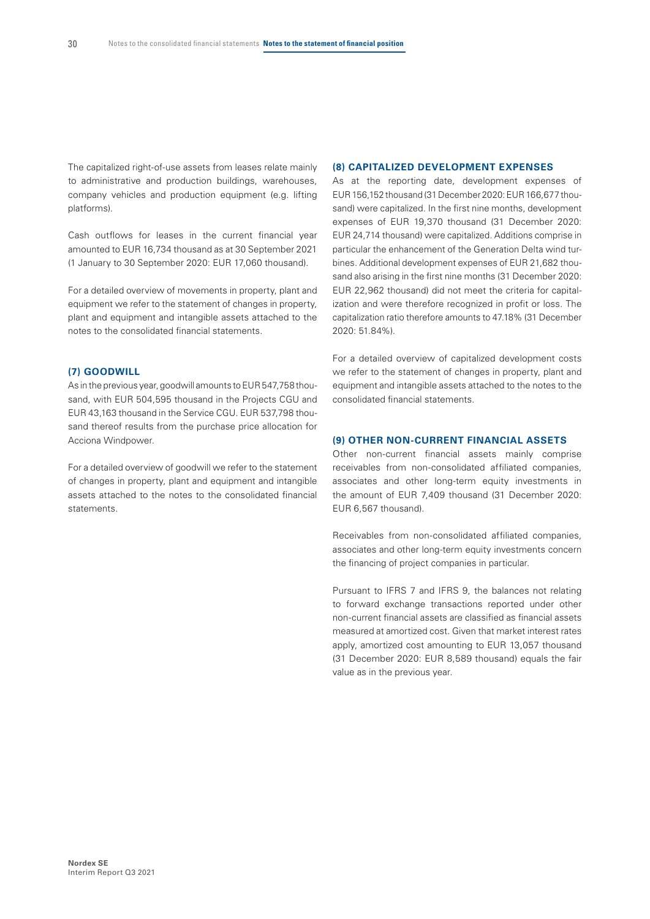The capitalized right-of-use assets from leases relate mainly to administrative and production buildings, warehouses, company vehicles and production equipment (e.g. lifting platforms).

Cash outflows for leases in the current financial year amounted to EUR 16,734 thousand as at 30 September 2021 (1 January to 30 September 2020: EUR 17,060 thousand).

For a detailed overview of movements in property, plant and equipment we refer to the statement of changes in property, plant and equipment and intangible assets attached to the notes to the consolidated financial statements.

#### **(7) GOODWILL**

As in the previous year, goodwill amounts to EUR 547,758 thousand, with EUR 504,595 thousand in the Projects CGU and EUR 43,163 thousand in the Service CGU. EUR 537,798 thousand thereof results from the purchase price allocation for Acciona Windpower.

For a detailed overview of goodwill we refer to the statement of changes in property, plant and equipment and intangible assets attached to the notes to the consolidated financial statements.

#### **(8) CAPITALIZED DEVELOPMENT EXPENSES**

As at the reporting date, development expenses of EUR156,152 thousand (31 December 2020: EUR166,677 thousand) were capitalized. In the first nine months, development expenses of EUR 19,370 thousand (31 December 2020: EUR 24,714 thousand) were capitalized. Additions comprise in particular the enhancement of the Generation Delta wind turbines. Additional development expenses of EUR 21,682 thousand also arising in the first nine months (31 December 2020: EUR 22,962 thousand) did not meet the criteria for capitalization and were therefore recognized in profit or loss. The capitalization ratio therefore amounts to 47.18% (31 December 2020: 51.84%).

For a detailed overview of capitalized development costs we refer to the statement of changes in property, plant and equipment and intangible assets attached to the notes to the consolidated financial statements.

#### **(9) OTHER NON-CURRENT FINANCIAL ASSETS**

Other non-current financial assets mainly comprise receivables from non-consolidated affiliated companies, associates and other long-term equity investments in the amount of EUR 7,409 thousand (31 December 2020: EUR 6,567 thousand).

Receivables from non-consolidated affiliated companies, associates and other long-term equity investments concern the financing of project companies in particular.

Pursuant to IFRS 7 and IFRS 9, the balances not relating to forward exchange transactions reported under other non-current financial assets are classified as financial assets measured at amortized cost. Given that market interest rates apply, amortized cost amounting to EUR 13,057 thousand (31 December 2020: EUR 8,589 thousand) equals the fair value as in the previous year.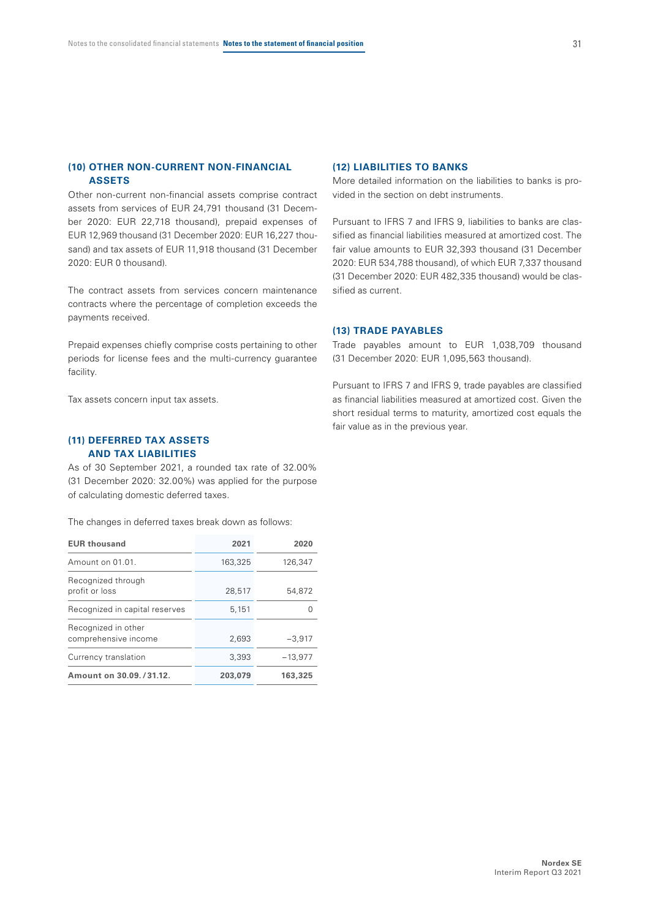#### **(10) OTHER NON-CURRENT NON-FINANCIAL ASSETS**

Other non-current non-financial assets comprise contract assets from services of EUR 24,791 thousand (31 December 2020: EUR 22,718 thousand), prepaid expenses of EUR 12,969 thousand (31 December 2020: EUR 16,227 thousand) and tax assets of EUR 11,918 thousand (31 December 2020: EUR 0 thousand).

The contract assets from services concern maintenance contracts where the percentage of completion exceeds the payments received.

Prepaid expenses chiefly comprise costs pertaining to other periods for license fees and the multi-currency guarantee facility.

Tax assets concern input tax assets.

#### **(11) DEFERRED TAX ASSETS AND TAX LIABILITIES**

As of 30 September 2021, a rounded tax rate of 32.00% (31 December 2020: 32.00%) was applied for the purpose of calculating domestic deferred taxes.

The changes in deferred taxes break down as follows:

| <b>EUR thousand</b>                         | 2021    | 2020      |
|---------------------------------------------|---------|-----------|
| Amount on 01.01.                            | 163,325 | 126.347   |
| Recognized through<br>profit or loss        | 28,517  | 54.872    |
| Recognized in capital reserves              | 5,151   |           |
| Recognized in other<br>comprehensive income | 2,693   | $-3,917$  |
| Currency translation                        | 3.393   | $-13.977$ |
| Amount on 30.09. / 31.12.                   | 203,079 | 163,325   |

#### **(12) LIABILITIES TO BANKS**

More detailed information on the liabilities to banks is provided in the section on debt instruments.

Pursuant to IFRS 7 and IFRS 9, liabilities to banks are classified as financial liabilities measured at amortized cost. The fair value amounts to EUR 32,393 thousand (31 December 2020: EUR 534,788 thousand), of which EUR 7,337 thousand (31 December 2020: EUR 482,335 thousand) would be classified as current.

#### **(13) TRADE PAYABLES**

Trade payables amount to EUR 1,038,709 thousand (31 December 2020: EUR 1,095,563 thousand).

Pursuant to IFRS 7 and IFRS 9, trade payables are classified as financial liabilities measured at amortized cost. Given the short residual terms to maturity, amortized cost equals the fair value as in the previous year.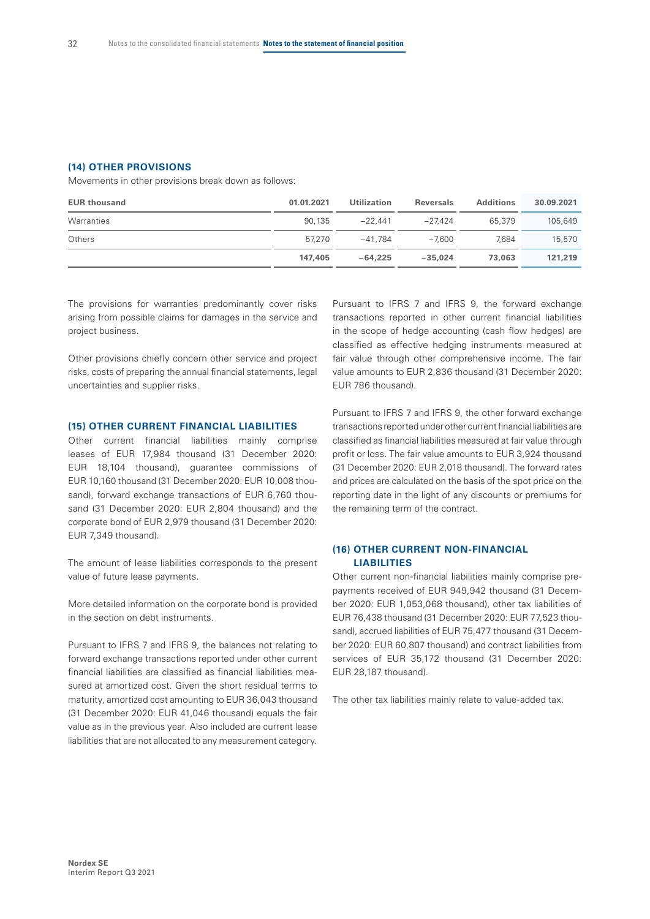#### **(14) OTHER PROVISIONS**

Movements in other provisions break down as follows:

| <b>EUR thousand</b> | 01.01.2021 | Utilization | <b>Reversals</b> | <b>Additions</b> | 30.09.2021 |
|---------------------|------------|-------------|------------------|------------------|------------|
| Warranties          | 90.135     | $-22.441$   | $-27.424$        | 65,379           | 105,649    |
| Others              | 57.270     | $-41.784$   | $-7.600$         | 7.684            | 15,570     |
|                     | 147,405    | $-64.225$   | $-35.024$        | 73,063           | 121,219    |

The provisions for warranties predominantly cover risks arising from possible claims for damages in the service and project business.

Other provisions chiefly concern other service and project risks, costs of preparing the annual financial statements, legal uncertainties and supplier risks.

#### **(15) OTHER CURRENT FINANCIAL LIABILITIES**

Other current financial liabilities mainly comprise leases of EUR 17,984 thousand (31 December 2020: EUR 18,104 thousand), guarantee commissions of EUR 10,160 thousand (31 December 2020: EUR 10,008 thousand), forward exchange transactions of EUR 6,760 thousand (31 December 2020: EUR 2,804 thousand) and the corporate bond of EUR 2,979 thousand (31 December 2020: EUR 7,349 thousand).

The amount of lease liabilities corresponds to the present value of future lease payments.

More detailed information on the corporate bond is provided in the section on debt instruments.

Pursuant to IFRS 7 and IFRS 9, the balances not relating to forward exchange transactions reported under other current financial liabilities are classified as financial liabilities measured at amortized cost. Given the short residual terms to maturity, amortized cost amounting to EUR 36,043 thousand (31 December 2020: EUR 41,046 thousand) equals the fair value as in the previous year. Also included are current lease liabilities that are not allocated to any measurement category.

Pursuant to IFRS 7 and IFRS 9, the forward exchange transactions reported in other current financial liabilities in the scope of hedge accounting (cash flow hedges) are classified as effective hedging instruments measured at fair value through other comprehensive income. The fair value amounts to EUR 2,836 thousand (31 December 2020: EUR 786 thousand).

Pursuant to IFRS 7 and IFRS 9, the other forward exchange transactions reported under other current financial liabilities are classified as financial liabilities measured at fair value through profit or loss. The fair value amounts to EUR 3,924 thousand (31 December 2020: EUR 2,018 thousand). The forward rates and prices are calculated on the basis of the spot price on the reporting date in the light of any discounts or premiums for the remaining term of the contract.

#### **(16) OTHER CURRENT NON-FINANCIAL LIABILITIES**

Other current non-financial liabilities mainly comprise prepayments received of EUR 949,942 thousand (31 December 2020: EUR 1,053,068 thousand), other tax liabilities of EUR 76,438 thousand (31 December 2020: EUR 77,523 thousand), accrued liabilities of EUR 75,477 thousand (31 December 2020: EUR 60,807 thousand) and contract liabilities from services of EUR 35,172 thousand (31 December 2020: EUR 28,187 thousand).

The other tax liabilities mainly relate to value-added tax.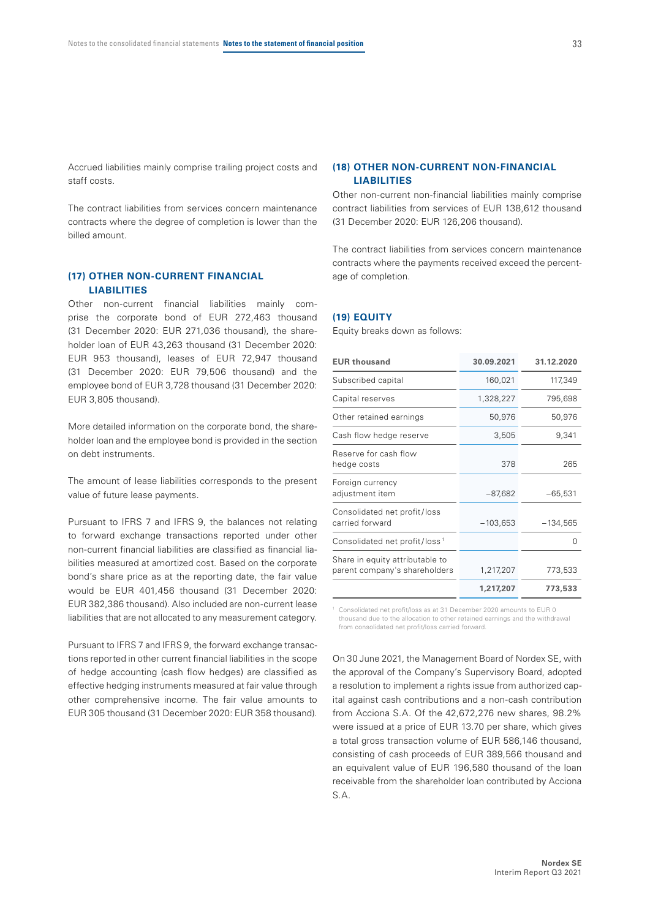Accrued liabilities mainly comprise trailing project costs and staff costs.

The contract liabilities from services concern maintenance contracts where the degree of completion is lower than the billed amount.

#### **(17) OTHER NON-CURRENT FINANCIAL LIABILITIES**

Other non-current financial liabilities mainly comprise the corporate bond of EUR 272,463 thousand (31 December 2020: EUR 271,036 thousand), the shareholder loan of EUR 43,263 thousand (31 December 2020: EUR 953 thousand), leases of EUR 72,947 thousand (31 December 2020: EUR 79,506 thousand) and the employee bond of EUR 3,728 thousand (31 December 2020: EUR 3,805 thousand).

More detailed information on the corporate bond, the shareholder loan and the employee bond is provided in the section on debt instruments.

The amount of lease liabilities corresponds to the present value of future lease payments.

Pursuant to IFRS 7 and IFRS 9, the balances not relating to forward exchange transactions reported under other non-current financial liabilities are classified as financial liabilities measured at amortized cost. Based on the corporate bond's share price as at the reporting date, the fair value would be EUR 401,456 thousand (31 December 2020: EUR 382,386 thousand). Also included are non-current lease liabilities that are not allocated to any measurement category.

Pursuant to IFRS 7 and IFRS 9, the forward exchange transactions reported in other current financial liabilities in the scope of hedge accounting (cash flow hedges) are classified as effective hedging instruments measured at fair value through other comprehensive income. The fair value amounts to EUR 305 thousand (31 December 2020: EUR 358 thousand).

#### **(18) OTHER NON-CURRENT NON-FINANCIAL LIABILITIES**

Other non-current non-financial liabilities mainly comprise contract liabilities from services of EUR 138,612 thousand (31 December 2020: EUR 126,206 thousand).

The contract liabilities from services concern maintenance contracts where the payments received exceed the percentage of completion.

#### **(19) EQUITY**

Equity breaks down as follows:

| <b>EUR thousand</b>                                              | 30.09.2021 | 31.12.2020 |
|------------------------------------------------------------------|------------|------------|
| Subscribed capital                                               | 160,021    | 117,349    |
| Capital reserves                                                 | 1,328,227  | 795,698    |
| Other retained earnings                                          | 50,976     | 50,976     |
| Cash flow hedge reserve                                          | 3,505      | 9,341      |
| Reserve for cash flow<br>hedge costs                             | 378        | 265        |
| Foreign currency<br>adjustment item                              | $-87,682$  | $-65,531$  |
| Consolidated net profit/loss<br>carried forward                  | $-103,653$ | $-134,565$ |
| Consolidated net profit/loss <sup>1</sup>                        |            | O          |
| Share in equity attributable to<br>parent company's shareholders | 1,217,207  | 773,533    |
|                                                                  | 1,217,207  | 773,533    |

1 Consolidated net profit/loss as at 31 December 2020 amounts to EUR 0 thousand due to the allocation to other retained earnings and the withdrawal from consolidated net profit/loss carried forward.

On 30 June 2021, the Management Board of Nordex SE, with the approval of the Company's Supervisory Board, adopted a resolution to implement a rights issue from authorized capital against cash contributions and a non-cash contribution from Acciona S.A. Of the 42,672,276 new shares, 98.2% were issued at a price of EUR 13.70 per share, which gives a total gross transaction volume of EUR 586,146 thousand, consisting of cash proceeds of EUR 389,566 thousand and an equivalent value of EUR 196,580 thousand of the loan receivable from the shareholder loan contributed by Acciona S.A.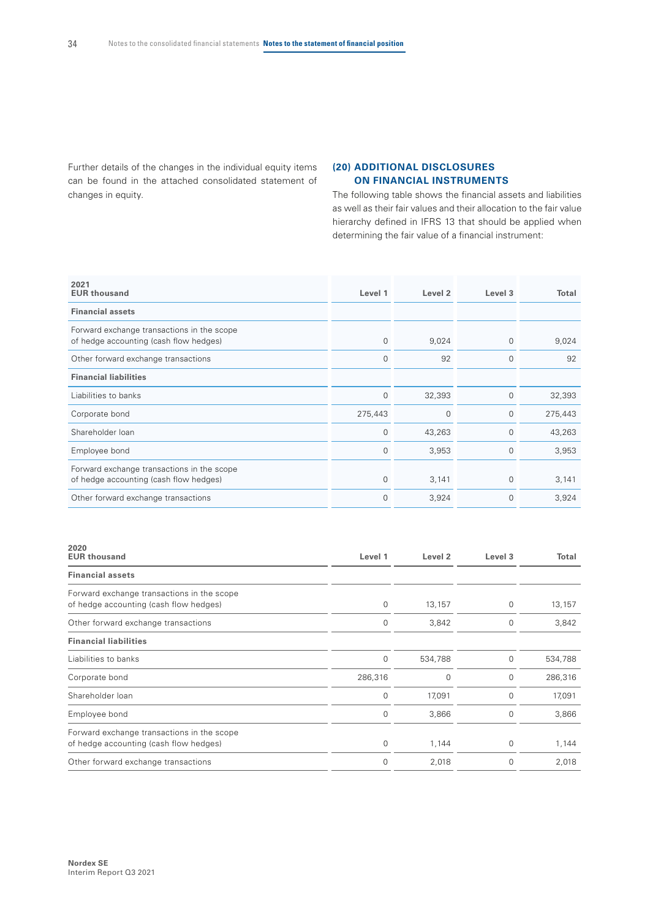Further details of the changes in the individual equity items can be found in the attached consolidated statement of changes in equity.

#### **(20) ADDITIONAL DISCLOSURES ON FINANCIAL INSTRUMENTS**

The following table shows the financial assets and liabilities as well as their fair values and their allocation to the fair value hierarchy defined in IFRS 13 that should be applied when determining the fair value of a financial instrument:

| 2021<br><b>EUR thousand</b>                                                          | Level 1      | Level <sub>2</sub> | Level 3     | <b>Total</b> |
|--------------------------------------------------------------------------------------|--------------|--------------------|-------------|--------------|
| <b>Financial assets</b>                                                              |              |                    |             |              |
| Forward exchange transactions in the scope<br>of hedge accounting (cash flow hedges) | $\mathbf{0}$ | 9,024              | $\Omega$    | 9,024        |
| Other forward exchange transactions                                                  | $\mathbf 0$  | 92                 | $\mathbf 0$ | 92           |
| <b>Financial liabilities</b>                                                         |              |                    |             |              |
| Liabilities to banks                                                                 | $\mathbf 0$  | 32,393             | 0           | 32,393       |
| Corporate bond                                                                       | 275,443      | 0                  | $\Omega$    | 275,443      |
| Shareholder Ioan                                                                     | $\mathbf{0}$ | 43,263             | $\Omega$    | 43,263       |
| Employee bond                                                                        | $\mathbf 0$  | 3,953              | 0           | 3,953        |
| Forward exchange transactions in the scope<br>of hedge accounting (cash flow hedges) | $\mathbf 0$  | 3,141              | 0           | 3,141        |
| Other forward exchange transactions                                                  | $\mathbf 0$  | 3,924              | $\Omega$    | 3,924        |

| 2020<br><b>EUR thousand</b>                                                          | Level 1     | Level <sub>2</sub> | Level 3     | Total   |
|--------------------------------------------------------------------------------------|-------------|--------------------|-------------|---------|
| <b>Financial assets</b>                                                              |             |                    |             |         |
| Forward exchange transactions in the scope<br>of hedge accounting (cash flow hedges) | 0           | 13,157             | 0           | 13,157  |
| Other forward exchange transactions                                                  | 0           | 3,842              | 0           | 3,842   |
| <b>Financial liabilities</b>                                                         |             |                    |             |         |
| Liabilities to banks                                                                 | $\mathbf 0$ | 534,788            | 0           | 534,788 |
| Corporate bond                                                                       | 286,316     | 0                  | 0           | 286,316 |
| Shareholder loan                                                                     | $\mathbf 0$ | 17,091             | 0           | 17,091  |
| Employee bond                                                                        | $\mathbf 0$ | 3,866              | 0           | 3,866   |
| Forward exchange transactions in the scope<br>of hedge accounting (cash flow hedges) | $\mathbf 0$ | 1,144              | $\mathbf 0$ | 1,144   |
| Other forward exchange transactions                                                  | $\mathbf 0$ | 2,018              | 0           | 2,018   |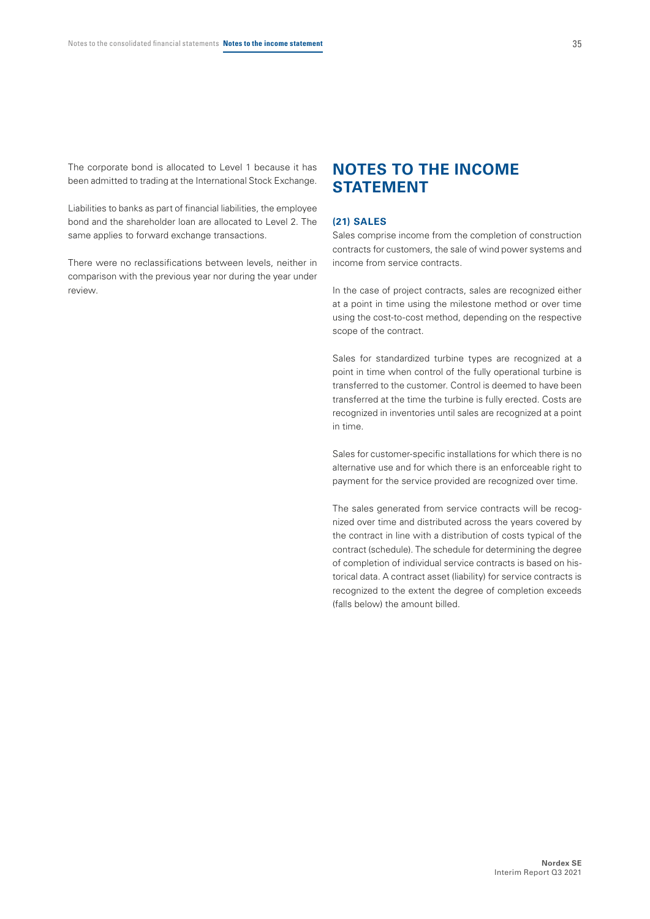The corporate bond is allocated to Level 1 because it has been admitted to trading at the International Stock Exchange.

Liabilities to banks as part of financial liabilities, the employee bond and the shareholder loan are allocated to Level 2. The same applies to forward exchange transactions.

There were no reclassifications between levels, neither in comparison with the previous year nor during the year under review.

### **NOTES TO THE INCOME STATEMENT**

#### **(21) SALES**

Sales comprise income from the completion of construction contracts for customers, the sale of wind power systems and income from service contracts.

In the case of project contracts, sales are recognized either at a point in time using the milestone method or over time using the cost-to-cost method, depending on the respective scope of the contract.

Sales for standardized turbine types are recognized at a point in time when control of the fully operational turbine is transferred to the customer. Control is deemed to have been transferred at the time the turbine is fully erected. Costs are recognized in inventories until sales are recognized at a point in time.

Sales for customer-specific installations for which there is no alternative use and for which there is an enforceable right to payment for the service provided are recognized over time.

The sales generated from service contracts will be recognized over time and distributed across the years covered by the contract in line with a distribution of costs typical of the contract (schedule). The schedule for determining the degree of completion of individual service contracts is based on historical data. A contract asset (liability) for service contracts is recognized to the extent the degree of completion exceeds (falls below) the amount billed.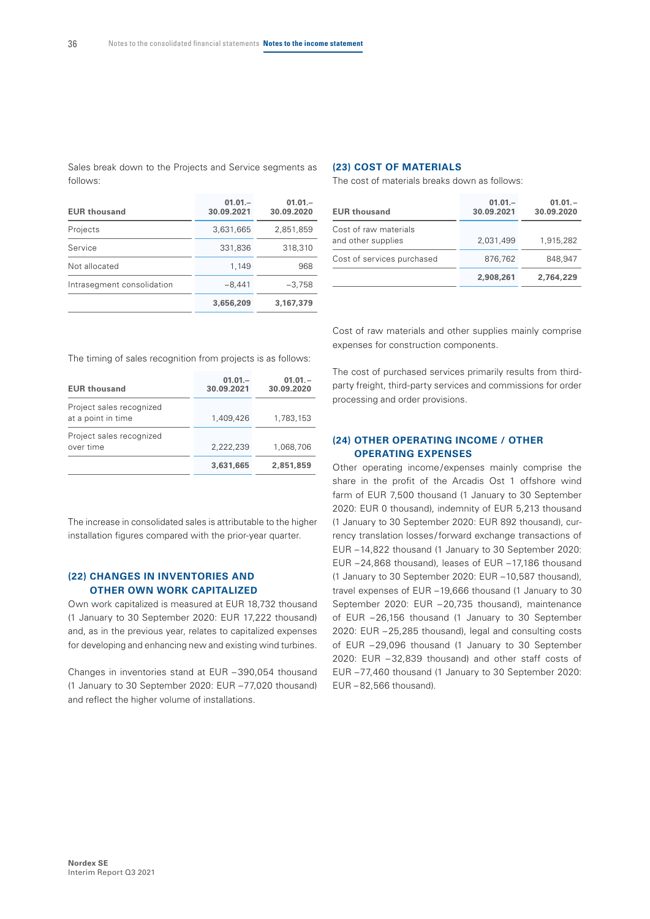Sales break down to the Projects and Service segments as follows:

Projects 3,631,665 2,851,859 Service 331,836 318,310 Not allocated 1,149 968 Intrasegment consolidation –8,441 –3,758

**01.01.– 30.09.2021**

**3,656,209 3,167,379**

**01.01.– 30.09.2020**

**EUR thousand**

#### **(23) COST OF MATERIALS**

The cost of materials breaks down as follows:

| <b>EUR thousand</b>                         | $01.01 -$<br>30.09.2021 | $01.01 -$<br>30.09.2020 |
|---------------------------------------------|-------------------------|-------------------------|
| Cost of raw materials<br>and other supplies | 2.031.499               | 1.915.282               |
| Cost of services purchased                  | 876.762                 | 848.947                 |
|                                             | 2,908,261               | 2.764.229               |

The timing of sales recognition from projects is as follows:

| <b>EUR thousand</b>                            | $01.01 -$<br>30.09.2021 | $01.01 -$<br>30.09.2020 |
|------------------------------------------------|-------------------------|-------------------------|
| Project sales recognized<br>at a point in time | 1,409,426               | 1,783,153               |
| Project sales recognized<br>over time          | 2,222,239               | 1,068,706               |
|                                                | 3,631,665               | 2,851,859               |

The increase in consolidated sales is attributable to the higher installation figures compared with the prior-year quarter.

#### **(22) CHANGES IN INVENTORIES AND OTHER OWN WORK CAPITALIZED**

Own work capitalized is measured at EUR 18,732 thousand (1 January to 30 September 2020: EUR 17,222 thousand) and, as in the previous year, relates to capitalized expenses for developing and enhancing new and existing wind turbines.

Changes in inventories stand at EUR – 390,054 thousand (1 January to 30 September 2020: EUR –77,020 thousand) and reflect the higher volume of installations.

Cost of raw materials and other supplies mainly comprise expenses for construction components.

The cost of purchased services primarily results from thirdparty freight, third-party services and commissions for order processing and order provisions.

#### **(24) OTHER OPERATING INCOME / OTHER OPERATING EXPENSES**

Other operating income/expenses mainly comprise the share in the profit of the Arcadis Ost 1 offshore wind farm of EUR 7,500 thousand (1 January to 30 September 2020: EUR 0 thousand), indemnity of EUR 5,213 thousand (1 January to 30 September 2020: EUR 892 thousand), currency translation losses/forward exchange transactions of EUR –14,822 thousand (1 January to 30 September 2020: EUR –24,868 thousand), leases of EUR –17,186 thousand (1 January to 30 September 2020: EUR –10,587 thousand), travel expenses of EUR –19,666 thousand (1 January to 30 September 2020: EUR –20,735 thousand), maintenance of EUR –26,156 thousand (1 January to 30 September 2020: EUR –25,285 thousand), legal and consulting costs of EUR –29,096 thousand (1 January to 30 September 2020: EUR – 32,839 thousand) and other staff costs of EUR –77,460 thousand (1 January to 30 September 2020: EUR – 82,566 thousand).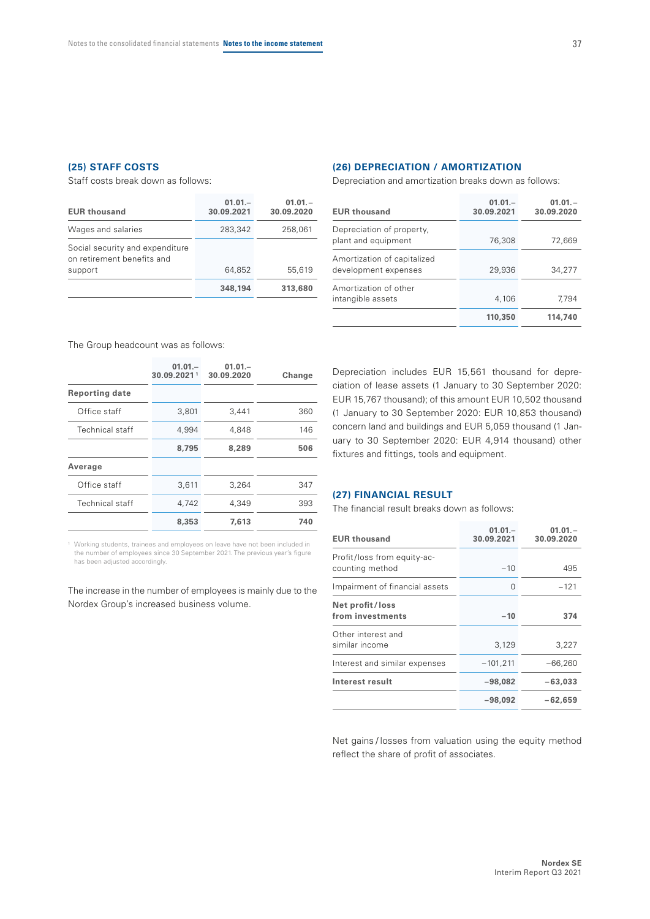Staff costs break down as follows:

| $01.01 -$<br>30.09.2021 | $01.01 -$<br>30.09.2020 |
|-------------------------|-------------------------|
| 283,342                 | 258,061                 |
|                         | 55,619                  |
|                         |                         |
| 348,194                 | 313,680                 |
|                         | 64.852                  |

#### **(26) DEPRECIATION / AMORTIZATION**

Depreciation and amortization breaks down as follows:

| <b>EUR thousand</b>                                 | $01.01 -$<br>30.09.2021 | $01.01 -$<br>30.09.2020 |
|-----------------------------------------------------|-------------------------|-------------------------|
| Depreciation of property,<br>plant and equipment    | 76,308                  | 72,669                  |
| Amortization of capitalized<br>development expenses | 29,936                  | 34,277                  |
| Amortization of other<br>intangible assets          | 4,106                   | 7.794                   |
|                                                     | 110,350                 | 114,740                 |

The Group headcount was as follows:

|                       | $01.01 -$<br>30.09.20211 | $01.01 -$<br>30.09.2020 | Change |
|-----------------------|--------------------------|-------------------------|--------|
| <b>Reporting date</b> |                          |                         |        |
| Office staff          | 3,801                    | 3,441                   | 360    |
| Technical staff       | 4,994                    | 4,848                   | 146    |
|                       | 8,795                    | 8,289                   | 506    |
| Average               |                          |                         |        |
| Office staff          | 3,611                    | 3,264                   | 347    |
| Technical staff       | 4,742                    | 4,349                   | 393    |
|                       | 8,353                    | 7,613                   | 740    |

1 Working students, trainees and employees on leave have not been included in the number of employees since 30 September 2021. The previous year's figure has been adjusted accordingly.

The increase in the number of employees is mainly due to the Nordex Group's increased business volume.

Depreciation includes EUR 15,561 thousand for depreciation of lease assets (1 January to 30 September 2020: EUR 15,767 thousand); of this amount EUR 10,502 thousand (1 January to 30 September 2020: EUR 10,853 thousand) concern land and buildings and EUR 5,059 thousand (1 January to 30 September 2020: EUR 4,914 thousand) other fixtures and fittings, tools and equipment.

#### **(27) FINANCIAL RESULT**

The financial result breaks down as follows:

| <b>EUR thousand</b>                            | $01.01 -$<br>30.09.2021 | $01.01 -$<br>30.09.2020 |
|------------------------------------------------|-------------------------|-------------------------|
| Profit/loss from equity-ac-<br>counting method | $-10$                   | 495                     |
| Impairment of financial assets                 | 0                       | $-121$                  |
| Net profit/loss<br>from investments            | $-10$                   | 374                     |
| Other interest and<br>similar income           | 3,129                   | 3,227                   |
| Interest and similar expenses                  | $-101,211$              | $-66,260$               |
| Interest result                                | $-98.082$               | $-63.033$               |
|                                                | -98,092                 | $-62.659$               |

Net gains / losses from valuation using the equity method reflect the share of profit of associates.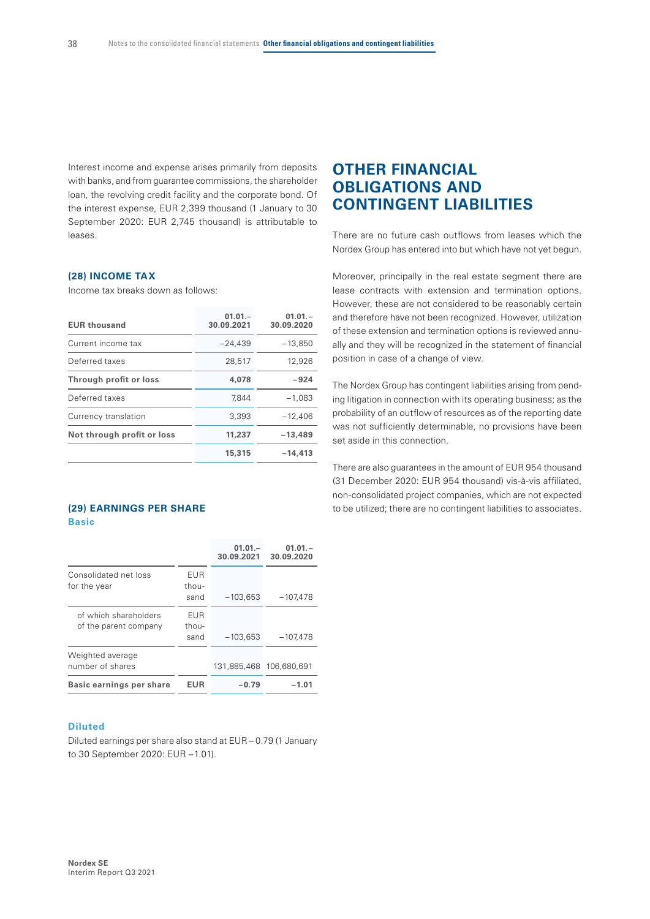Interest income and expense arises primarily from deposits with banks, and from guarantee commissions, the shareholder loan, the revolving credit facility and the corporate bond. Of the interest expense, EUR 2,399 thousand (1 January to 30 September 2020: EUR 2,745 thousand) is attributable to leases.

#### **(28) INCOME TAX**

Income tax breaks down as follows:

| <b>EUR thousand</b>        | $01.01 -$<br>30.09.2021 | $01.01 -$<br>30.09.2020 |
|----------------------------|-------------------------|-------------------------|
| Current income tax         | $-24.439$               | $-13.850$               |
| Deferred taxes             | 28,517                  | 12,926                  |
| Through profit or loss     | 4,078                   | -924                    |
| Deferred taxes             | 7.844                   | $-1,083$                |
| Currency translation       | 3,393                   | $-12,406$               |
| Not through profit or loss | 11,237                  | $-13,489$               |
|                            | 15,315                  | $-14.413$               |
|                            |                         |                         |

#### **(29) EARNINGS PER SHARE Basic**

|                                                |                      | $01.01 -$<br>30.09.2021 | $01.01 -$<br>30.09.2020 |
|------------------------------------------------|----------------------|-------------------------|-------------------------|
| Consolidated net loss<br>for the year          | EUR<br>thou-<br>sand | $-103,653$              | $-107,478$              |
| of which shareholders<br>of the parent company | EUR<br>thou-<br>sand | $-103,653$              | $-107,478$              |
| Weighted average<br>number of shares           |                      | 131,885,468             | 106,680,691             |
| Basic earnings per share                       | EUR                  | -0.79                   | -1.01                   |

#### **Diluted**

Diluted earnings per share also stand at EUR – 0.79 (1 January to 30 September 2020: EUR –1.01).

### **OTHER FINANCIAL OBLIGATIONS AND CONTINGENT LIABILITIES**

There are no future cash outflows from leases which the Nordex Group has entered into but which have not yet begun.

Moreover, principally in the real estate segment there are lease contracts with extension and termination options. However, these are not considered to be reasonably certain and therefore have not been recognized. However, utilization of these extension and termination options is reviewed annually and they will be recognized in the statement of financial position in case of a change of view.

The Nordex Group has contingent liabilities arising from pending litigation in connection with its operating business; as the probability of an outflow of resources as of the reporting date was not sufficiently determinable, no provisions have been set aside in this connection.

There are also guarantees in the amount of EUR 954 thousand (31 December 2020: EUR 954 thousand) vis-à-vis affiliated, non-consolidated project companies, which are not expected to be utilized; there are no contingent liabilities to associates.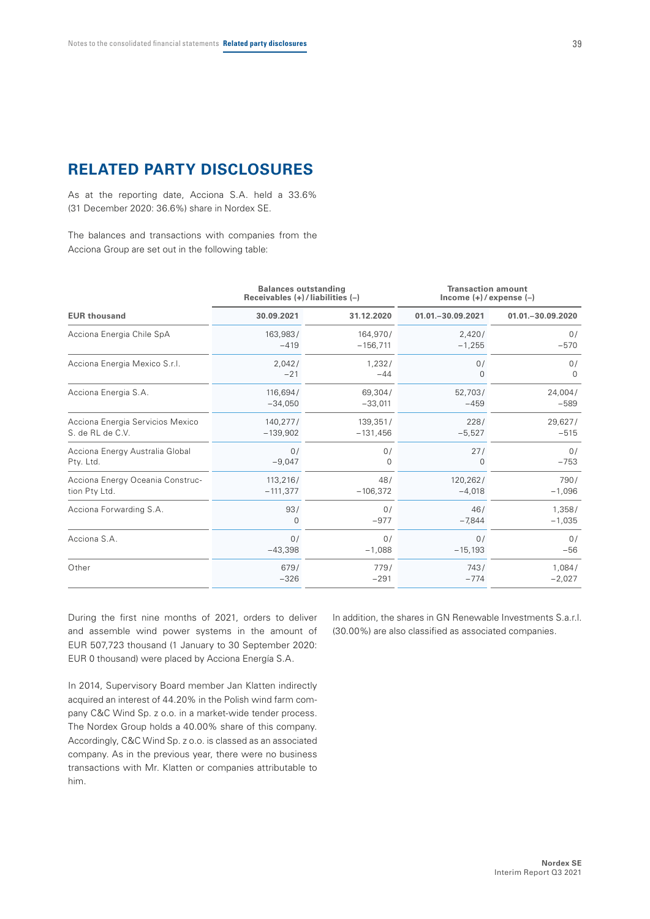### **RELATED PARTY DISCLOSURES**

As at the reporting date, Acciona S.A. held a 33.6% (31 December 2020: 36.6%) share in Nordex SE.

The balances and transactions with companies from the Acciona Group are set out in the following table:

|                                  | <b>Balances outstanding</b><br>Receivables $(+)$ / liabilities $(-)$ |                        | <b>Transaction amount</b><br>Income $(+)/$ expense $(-)$ |                                     |  |
|----------------------------------|----------------------------------------------------------------------|------------------------|----------------------------------------------------------|-------------------------------------|--|
| <b>EUR thousand</b>              | 30.09.2021                                                           | 31.12.2020             | 01.01. - 30.09.2021                                      | 01.01. - 30.09.2020<br>0/<br>$-570$ |  |
| Acciona Energia Chile SpA        | 163,983/<br>$-419$                                                   | 164,970/<br>$-156,711$ | 2,420/<br>$-1,255$                                       |                                     |  |
| Acciona Energia Mexico S.r.l.    | 2,042/                                                               | 1,232/                 | 0/                                                       | 0/                                  |  |
|                                  | $-21$                                                                | $-44$                  | 0                                                        | $\Omega$                            |  |
| Acciona Energia S.A.             | 116,694/                                                             | 69,304/                | 52,703/                                                  | 24,004/                             |  |
|                                  | $-34,050$                                                            | $-33,011$              | $-459$                                                   | $-589$                              |  |
| Acciona Energia Servicios Mexico | 140,277/                                                             | 139,351/               | 228/                                                     | 29,627/                             |  |
| S. de RL de C.V.                 | $-139,902$                                                           | $-131,456$             | $-5,527$                                                 | $-515$                              |  |
| Acciona Energy Australia Global  | 0/                                                                   | 0/                     | 27/                                                      | 0/                                  |  |
| Pty. Ltd.                        | $-9,047$                                                             | 0                      | 0                                                        | $-753$                              |  |
| Acciona Energy Oceania Construc- | 113,216/                                                             | 48/                    | 120,262/                                                 | 790/                                |  |
| tion Pty Ltd.                    | $-111,377$                                                           | $-106,372$             | $-4,018$                                                 | $-1,096$                            |  |
| Acciona Forwarding S.A.          | 93/                                                                  | 0/                     | 46/                                                      | 1,358/                              |  |
|                                  | $\Omega$                                                             | $-977$                 | $-7,844$                                                 | $-1,035$                            |  |
| Acciona S.A.                     | 0/                                                                   | 0/                     | 0/                                                       | 0/                                  |  |
|                                  | $-43,398$                                                            | $-1,088$               | $-15,193$                                                | $-56$                               |  |
| Other                            | 679/                                                                 | 779/                   | 743/                                                     | 1,084/                              |  |
|                                  | $-326$                                                               | $-291$                 | $-774$                                                   | $-2,027$                            |  |

During the first nine months of 2021, orders to deliver and assemble wind power systems in the amount of EUR 507,723 thousand (1 January to 30 September 2020: EUR 0 thousand) were placed by Acciona Energía S.A.

In 2014, Supervisory Board member Jan Klatten indirectly acquired an interest of 44.20% in the Polish wind farm company C&C Wind Sp. z o.o. in a market-wide tender process. The Nordex Group holds a 40.00% share of this company. Accordingly, C&C Wind Sp. z o.o. is classed as an associated company. As in the previous year, there were no business transactions with Mr. Klatten or companies attributable to him.

In addition, the shares in GN Renewable Investments S.a.r.l. (30.00%) are also classified as associated companies.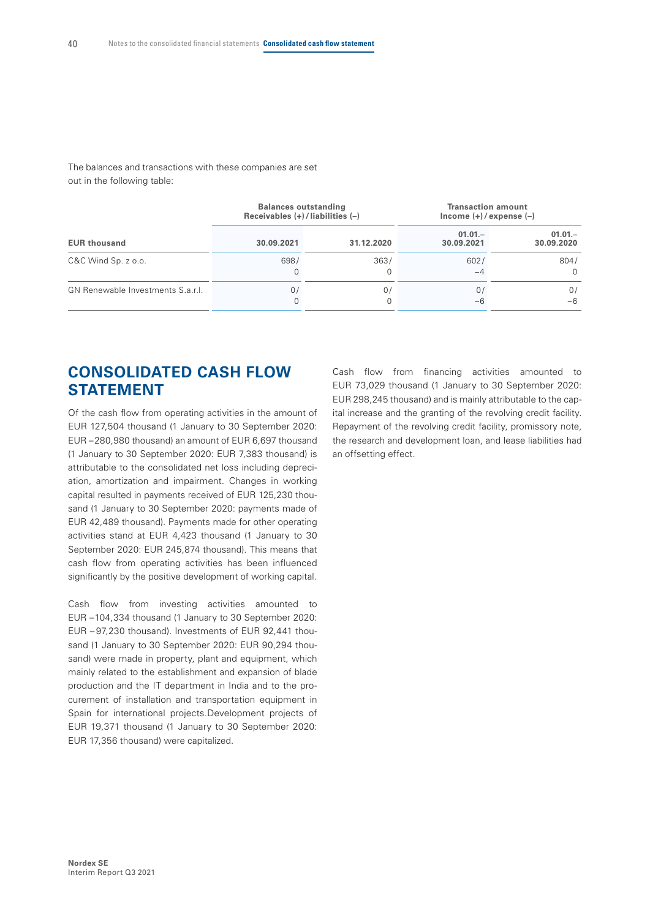The balances and transactions with these companies are set out in the following table:

|                                   | Receivables $(+)$ / liabilities $(-)$ | <b>Balances outstanding</b> | <b>Transaction amount</b><br>$lncome (+)/expense (-)$ |                         |  |  |
|-----------------------------------|---------------------------------------|-----------------------------|-------------------------------------------------------|-------------------------|--|--|
| <b>EUR thousand</b>               | 30.09.2021                            | 31.12.2020                  | $01.01 -$<br>30.09.2021                               | $01.01 -$<br>30.09.2020 |  |  |
| $C&C$ Wind Sp. z o.o.             | 698/                                  | 363/                        | 602/<br>$-4$                                          | 804/<br>$\Omega$        |  |  |
| GN Renewable Investments S.a.r.l. | 07                                    | 0.                          | 0/<br>-6                                              | 0/<br>-6                |  |  |

### **CONSOLIDATED CASH FLOW STATEMENT**

Of the cash flow from operating activities in the amount of EUR 127,504 thousand (1 January to 30 September 2020: EUR –280,980 thousand) an amount of EUR 6,697 thousand (1 January to 30 September 2020: EUR 7,383 thousand) is attributable to the consolidated net loss including depreciation, amortization and impairment. Changes in working capital resulted in payments received of EUR 125,230 thousand (1 January to 30 September 2020: payments made of EUR 42,489 thousand). Payments made for other operating activities stand at EUR 4,423 thousand (1 January to 30 September 2020: EUR 245,874 thousand). This means that cash flow from operating activities has been influenced significantly by the positive development of working capital.

Cash flow from investing activities amounted to EUR –104,334 thousand (1 January to 30 September 2020: EUR – 97,230 thousand). Investments of EUR 92,441 thousand (1 January to 30 September 2020: EUR 90,294 thousand) were made in property, plant and equipment, which mainly related to the establishment and expansion of blade production and the IT department in India and to the procurement of installation and transportation equipment in Spain for international projects.Development projects of EUR 19,371 thousand (1 January to 30 September 2020: EUR 17,356 thousand) were capitalized.

Cash flow from financing activities amounted to EUR 73,029 thousand (1 January to 30 September 2020: EUR 298,245 thousand) and is mainly attributable to the capital increase and the granting of the revolving credit facility. Repayment of the revolving credit facility, promissory note, the research and development loan, and lease liabilities had an offsetting effect.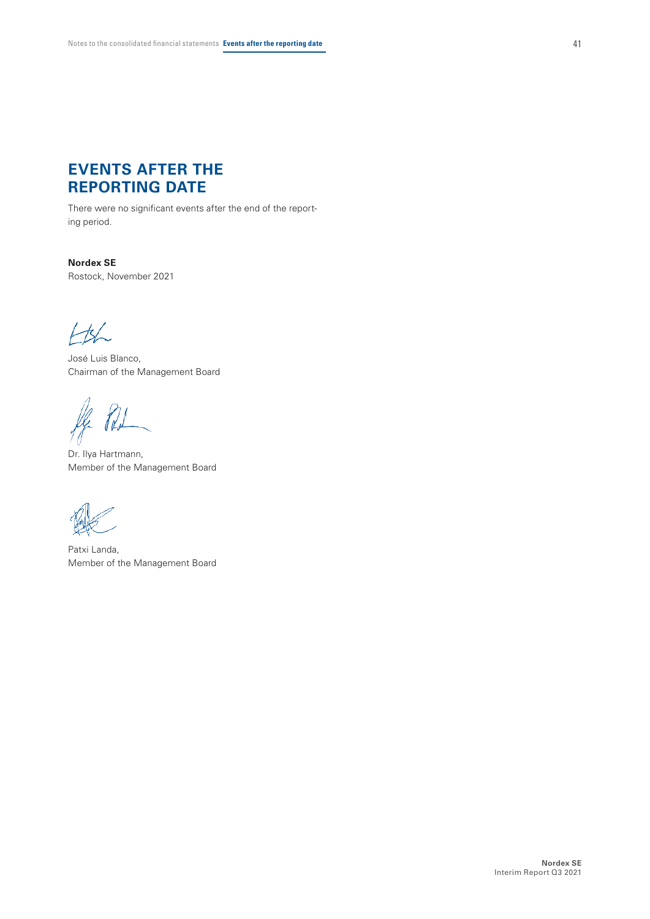# **EVENTS AFTER THE REPORTING DATE**

There were no significant events after the end of the reporting period.

**Nordex SE** Rostock, November 2021

 $\pm\mathbf{K}$ 

José Luis Blanco, Chairman of the Management Board

ff. Ro

Dr. Ilya Hartmann, Member of the Management Board

Patxi Landa, Member of the Management Board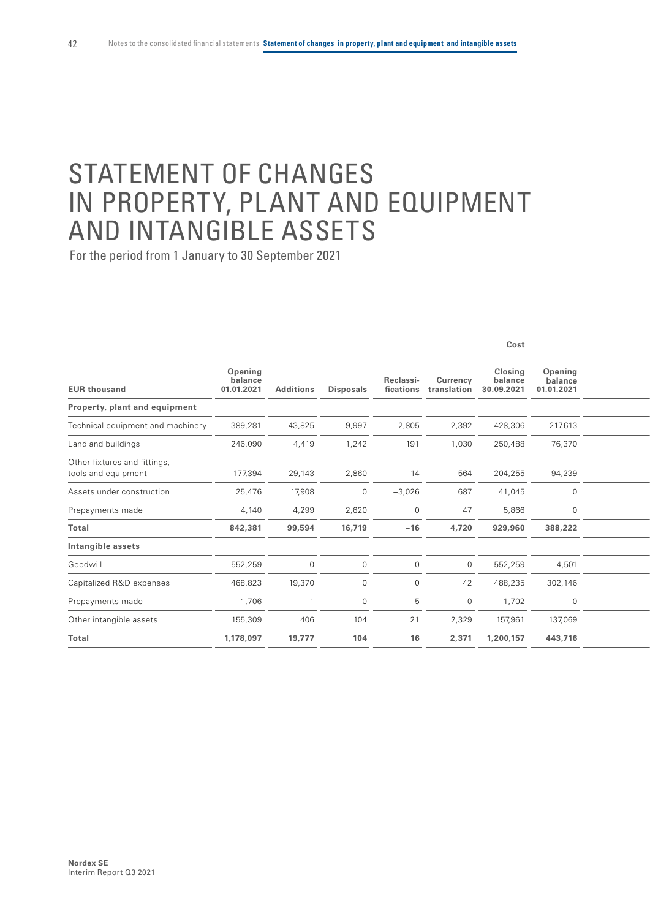# STATEMENT OF CHANGES IN PROPERTY, PLANT AND EQUIPMENT AND INTANGIBLE ASSETS

|                                                     |                                  |                  |                  |                        |                         | Cost                             |                                  |  |
|-----------------------------------------------------|----------------------------------|------------------|------------------|------------------------|-------------------------|----------------------------------|----------------------------------|--|
| <b>EUR thousand</b>                                 | Opening<br>balance<br>01.01.2021 | <b>Additions</b> | <b>Disposals</b> | Reclassi-<br>fications | Currency<br>translation | Closing<br>balance<br>30.09.2021 | Opening<br>balance<br>01.01.2021 |  |
| Property, plant and equipment                       |                                  |                  |                  |                        |                         |                                  |                                  |  |
| Technical equipment and machinery                   | 389,281                          | 43,825           | 9,997            | 2,805                  | 2,392                   | 428,306                          | 217,613                          |  |
| Land and buildings                                  | 246,090                          | 4,419            | 1,242            | 191                    | 1,030                   | 250,488                          | 76,370                           |  |
| Other fixtures and fittings,<br>tools and equipment | 177,394                          | 29,143           | 2,860            | 14                     | 564                     | 204,255                          | 94,239                           |  |
| Assets under construction                           | 25,476                           | 17,908           | $\overline{0}$   | $-3,026$               | 687                     | 41,045                           | 0                                |  |
| Prepayments made                                    | 4,140                            | 4,299            | 2,620            | $\mathbf 0$            | 47                      | 5,866                            | $\mathbf 0$                      |  |
| Total                                               | 842,381                          | 99,594           | 16,719           | $-16$                  | 4,720                   | 929,960                          | 388,222                          |  |
| Intangible assets                                   |                                  |                  |                  |                        |                         |                                  |                                  |  |
| Goodwill                                            | 552,259                          | $\mathbf{0}$     | $\overline{0}$   | $\mathbf{0}$           | $\overline{0}$          | 552,259                          | 4,501                            |  |
| Capitalized R&D expenses                            | 468,823                          | 19,370           | $\overline{0}$   | $\mathbf{0}$           | 42                      | 488,235                          | 302,146                          |  |
| Prepayments made                                    | 1,706                            |                  | $\mathbf 0$      | $-5$                   | $\mathbf{0}$            | 1,702                            | $\mathbf 0$                      |  |
| Other intangible assets                             | 155,309                          | 406              | 104              | 21                     | 2,329                   | 157,961                          | 137,069                          |  |
| Total                                               | 1,178,097                        | 19,777           | 104              | 16                     | 2,371                   | 1,200,157                        | 443,716                          |  |
|                                                     |                                  |                  |                  |                        |                         |                                  |                                  |  |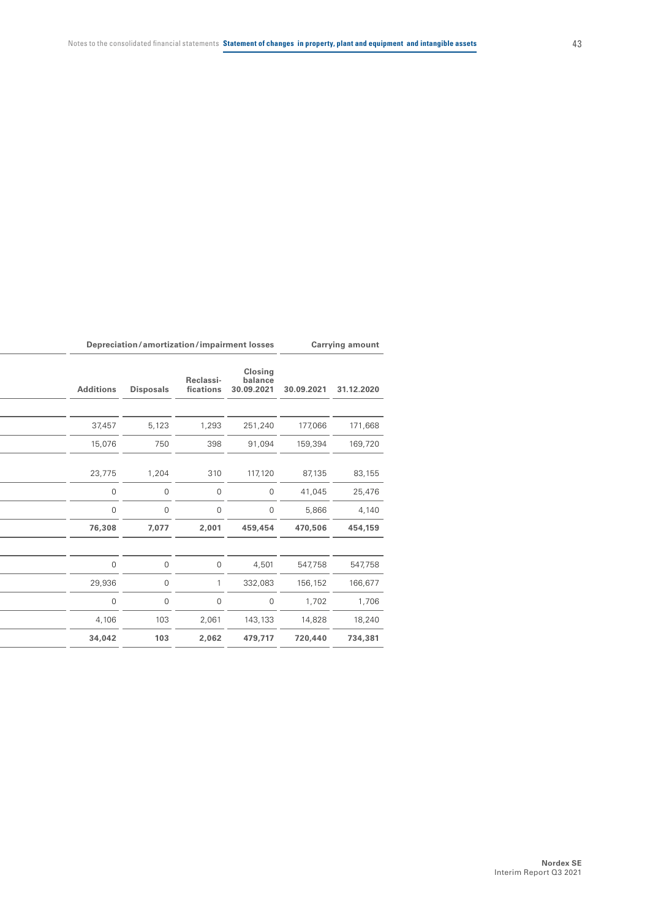| <b>Carrying amount</b> |            | Depreciation/amortization/impairment losses |                        |                  |                  |
|------------------------|------------|---------------------------------------------|------------------------|------------------|------------------|
| 31.12.2020             | 30.09.2021 | Closing<br>balance<br>30.09.2021            | Reclassi-<br>fications | <b>Disposals</b> | <b>Additions</b> |
|                        |            |                                             |                        |                  |                  |
| 171,668                | 177,066    | 251,240                                     | 1,293                  | 5,123            | 37,457           |
| 169,720                | 159,394    | 91,094                                      | 398                    | 750              | 15,076           |
|                        |            |                                             |                        |                  |                  |
| 83,155                 | 87,135     | 117,120                                     | 310                    | 1,204            | 23,775           |
| 25,476                 | 41,045     | $\mathbf 0$                                 | $\overline{0}$         | $\overline{0}$   | $\mathbf 0$      |
| 4,140                  | 5,866      | $\overline{0}$                              | $\overline{0}$         | $\mathbf 0$      | $\Omega$         |
| 454,159                | 470,506    | 459,454                                     | 2,001                  | 7,077            | 76,308           |
|                        |            |                                             |                        |                  |                  |
| 547,758                | 547,758    | 4,501                                       | $\overline{0}$         | $\overline{0}$   | $\mathbf 0$      |
| 166,677                | 156,152    | 332,083                                     |                        | $\mathsf{O}$     | 29,936           |
| 1,706                  | 1,702      | $\overline{0}$                              | $\overline{0}$         | $\overline{0}$   | $\overline{0}$   |
| 18,240                 | 14,828     | 143,133                                     | 2,061                  | 103              | 4,106            |
| 734,381                | 720,440    | 479,717                                     | 2,062                  | 103              | 34,042           |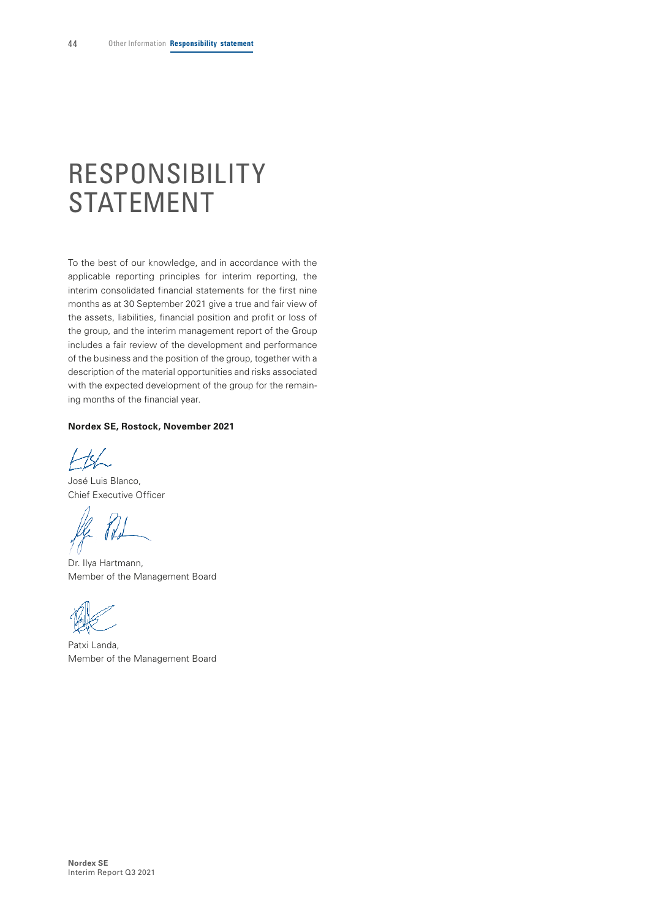# <span id="page-43-0"></span>RESPONSIBILITY STATEMENT

To the best of our knowledge, and in accordance with the applicable reporting principles for interim reporting, the interim consolidated financial statements for the first nine months as at 30 September 2021 give a true and fair view of the assets, liabilities, financial position and profit or loss of the group, and the interim management report of the Group includes a fair review of the development and performance of the business and the position of the group, together with a description of the material opportunities and risks associated with the expected development of the group for the remaining months of the financial year.

#### **Nordex SE, Rostock, November 2021**

 $H$ 

José Luis Blanco, Chief Executive Officer

Dr. Ilya Hartmann, Member of the Management Board

Patxi Landa, Member of the Management Board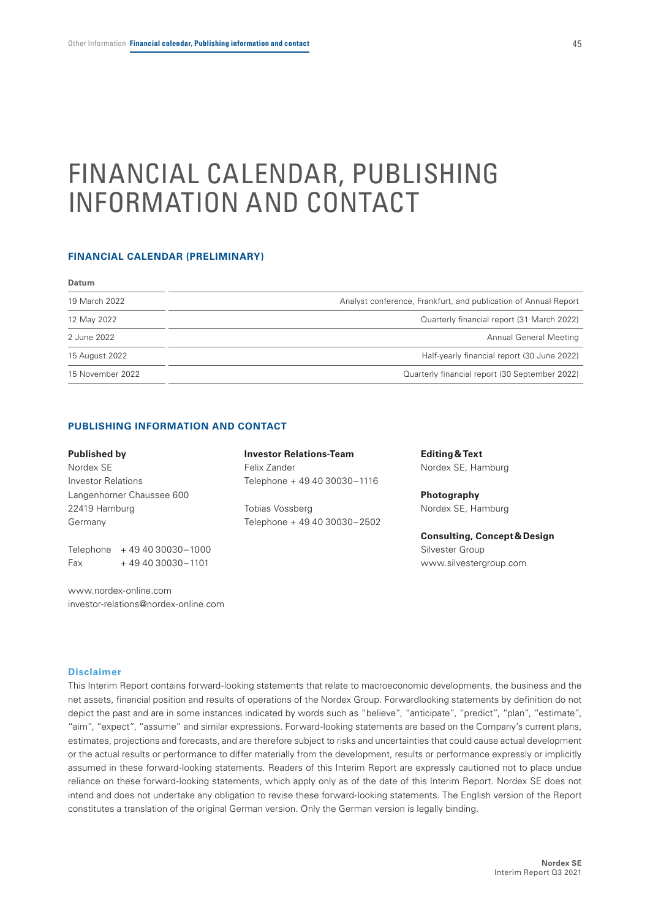# <span id="page-44-0"></span>FINANCIAL CALENDAR, PUBLISHING INFORMATION AND CONTACT

#### **FINANCIAL CALENDAR (PRELIMINARY)**

| <b>Datum</b>     |                                                                 |
|------------------|-----------------------------------------------------------------|
| 19 March 2022    | Analyst conference, Frankfurt, and publication of Annual Report |
| 12 May 2022      | Quarterly financial report (31 March 2022)                      |
| 2 June 2022      | Annual General Meeting                                          |
| 15 August 2022   | Half-yearly financial report (30 June 2022)                     |
| 15 November 2022 | Quarterly financial report (30 September 2022)                  |

#### **PUBLISHING INFORMATION AND CONTACT**

#### **Published by**

Nordex SE Investor Relations Langenhorner Chaussee 600 22419 Hamburg Germany

Telephone + 49 40 30030–1000 Fax + 49 40 30030–1101

www.nordex-online.com investor-relations@nordex-online.com **Investor Relations-Team** Felix Zander Telephone + 49 40 30030–1116

Tobias Vossberg Telephone + 49 40 30030–2502 **Editing&Text**  Nordex SE, Hamburg

**Photography**  Nordex SE, Hamburg

**Consulting, Concept&Design**  Silvester Group www.silvestergroup.com

#### **Disclaimer**

This Interim Report contains forward-looking statements that relate to macroeconomic developments, the business and the net assets, financial position and results of operations of the Nordex Group. Forwardlooking statements by definition do not depict the past and are in some instances indicated by words such as "believe", "anticipate", "predict", "plan", "estimate", "aim", "expect", "assume" and similar expressions. Forward-looking statements are based on the Company's current plans, estimates, projections and forecasts, and are therefore subject to risks and uncertainties that could cause actual development or the actual results or performance to differ materially from the development, results or performance expressly or implicitly assumed in these forward-looking statements. Readers of this Interim Report are expressly cautioned not to place undue reliance on these forward-looking statements, which apply only as of the date of this Interim Report. Nordex SE does not intend and does not undertake any obligation to revise these forward-looking statements. The English version of the Report constitutes a translation of the original German version. Only the German version is legally binding.